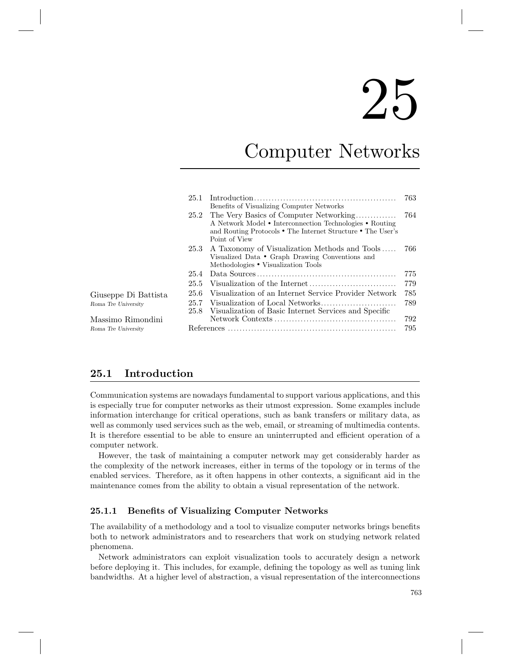# 25

# Computer Networks

|                      | 25.1         | Benefits of Visualizing Computer Networks                                                                                                                                               | 763 |
|----------------------|--------------|-----------------------------------------------------------------------------------------------------------------------------------------------------------------------------------------|-----|
|                      |              | 25.2 The Very Basics of Computer Networking<br>A Network Model • Interconnection Technologies • Routing<br>and Routing Protocols • The Internet Structure • The User's<br>Point of View | 764 |
|                      |              | 25.3 A Taxonomy of Visualization Methods and Tools<br>Visualized Data • Graph Drawing Conventions and<br>Methodologies • Visualization Tools                                            | 766 |
|                      | 25.4         |                                                                                                                                                                                         | 775 |
|                      | 25.5         |                                                                                                                                                                                         | 779 |
| Giuseppe Di Battista | 25.6         | Visualization of an Internet Service Provider Network                                                                                                                                   | 785 |
| Roma Tre University  | 25.7<br>25.8 | Visualization of Local Networks<br>Visualization of Basic Internet Services and Specific                                                                                                | 789 |
| Massimo Rimondini    |              |                                                                                                                                                                                         | 792 |
| Roma Tre University  |              |                                                                                                                                                                                         | 795 |

#### 25.1 Introduction

Communication systems are nowadays fundamental to support various applications, and this is especially true for computer networks as their utmost expression. Some examples include information interchange for critical operations, such as bank transfers or military data, as well as commonly used services such as the web, email, or streaming of multimedia contents. It is therefore essential to be able to ensure an uninterrupted and efficient operation of a computer network.

However, the task of maintaining a computer network may get considerably harder as the complexity of the network increases, either in terms of the topology or in terms of the enabled services. Therefore, as it often happens in other contexts, a significant aid in the maintenance comes from the ability to obtain a visual representation of the network.

#### 25.1.1 Benefits of Visualizing Computer Networks

The availability of a methodology and a tool to visualize computer networks brings benefits both to network administrators and to researchers that work on studying network related phenomena.

Network administrators can exploit visualization tools to accurately design a network before deploying it. This includes, for example, defining the topology as well as tuning link bandwidths. At a higher level of abstraction, a visual representation of the interconnections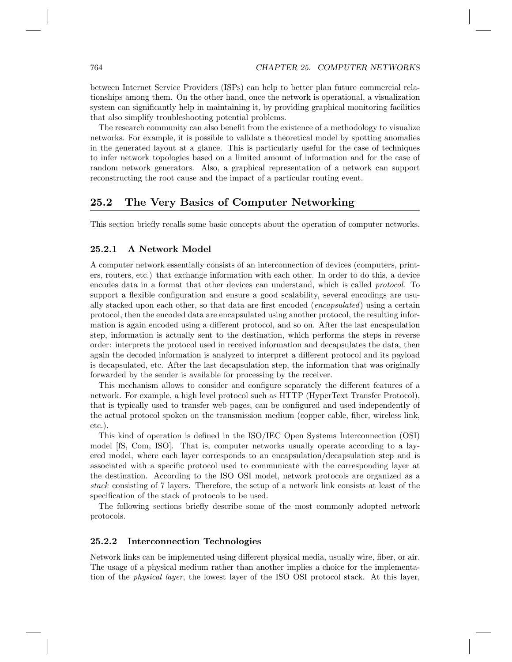between Internet Service Providers (ISPs) can help to better plan future commercial relationships among them. On the other hand, once the network is operational, a visualization system can significantly help in maintaining it, by providing graphical monitoring facilities that also simplify troubleshooting potential problems.

The research community can also benefit from the existence of a methodology to visualize networks. For example, it is possible to validate a theoretical model by spotting anomalies in the generated layout at a glance. This is particularly useful for the case of techniques to infer network topologies based on a limited amount of information and for the case of random network generators. Also, a graphical representation of a network can support reconstructing the root cause and the impact of a particular routing event.

#### 25.2 The Very Basics of Computer Networking

This section briefly recalls some basic concepts about the operation of computer networks.

#### 25.2.1 A Network Model

A computer network essentially consists of an interconnection of devices (computers, printers, routers, etc.) that exchange information with each other. In order to do this, a device encodes data in a format that other devices can understand, which is called protocol. To support a flexible configuration and ensure a good scalability, several encodings are usually stacked upon each other, so that data are first encoded (encapsulated) using a certain protocol, then the encoded data are encapsulated using another protocol, the resulting information is again encoded using a different protocol, and so on. After the last encapsulation step, information is actually sent to the destination, which performs the steps in reverse order: interprets the protocol used in received information and decapsulates the data, then again the decoded information is analyzed to interpret a different protocol and its payload is decapsulated, etc. After the last decapsulation step, the information that was originally forwarded by the sender is available for processing by the receiver.

This mechanism allows to consider and configure separately the different features of a network. For example, a high level protocol such as HTTP (HyperText Transfer Protocol), that is typically used to transfer web pages, can be configured and used independently of the actual protocol spoken on the transmission medium (copper cable, fiber, wireless link, etc.).

This kind of operation is defined in the ISO/IEC Open Systems Interconnection (OSI) model [fS, Com, ISO]. That is, computer networks usually operate according to a layered model, where each layer corresponds to an encapsulation/decapsulation step and is associated with a specific protocol used to communicate with the corresponding layer at the destination. According to the ISO OSI model, network protocols are organized as a stack consisting of 7 layers. Therefore, the setup of a network link consists at least of the specification of the stack of protocols to be used.

The following sections briefly describe some of the most commonly adopted network protocols.

#### 25.2.2 Interconnection Technologies

Network links can be implemented using different physical media, usually wire, fiber, or air. The usage of a physical medium rather than another implies a choice for the implementation of the physical layer, the lowest layer of the ISO OSI protocol stack. At this layer,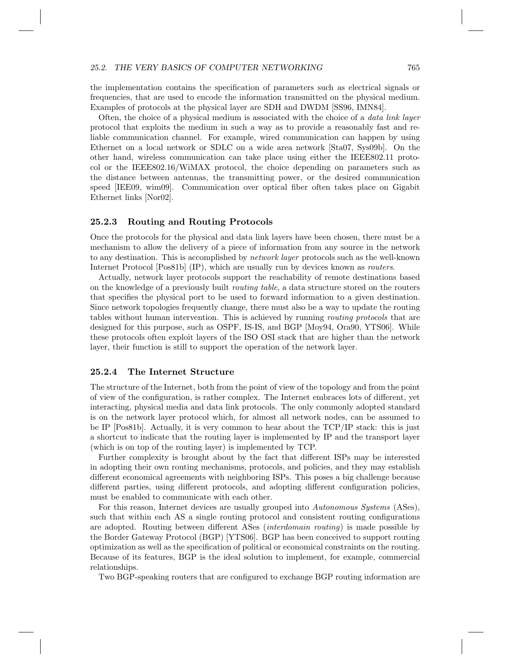#### 25.2. THE VERY BASICS OF COMPUTER NETWORKING 765

the implementation contains the specification of parameters such as electrical signals or frequencies, that are used to encode the information transmitted on the physical medium. Examples of protocols at the physical layer are SDH and DWDM [SS96, IMN84].

Often, the choice of a physical medium is associated with the choice of a data link layer protocol that exploits the medium in such a way as to provide a reasonably fast and reliable communication channel. For example, wired communication can happen by using Ethernet on a local network or SDLC on a wide area network [Sta07, Sys09b]. On the other hand, wireless communication can take place using either the IEEE802.11 protocol or the IEEE802.16/WiMAX protocol, the choice depending on parameters such as the distance between antennas, the transmitting power, or the desired communication speed [IEE09, wim09]. Communication over optical fiber often takes place on Gigabit Ethernet links [Nor02].

#### 25.2.3 Routing and Routing Protocols

Once the protocols for the physical and data link layers have been chosen, there must be a mechanism to allow the delivery of a piece of information from any source in the network to any destination. This is accomplished by *network layer* protocols such as the well-known Internet Protocol [Pos81b] (IP), which are usually run by devices known as routers.

Actually, network layer protocols support the reachability of remote destinations based on the knowledge of a previously built routing table, a data structure stored on the routers that specifies the physical port to be used to forward information to a given destination. Since network topologies frequently change, there must also be a way to update the routing tables without human intervention. This is achieved by running *routing protocols* that are designed for this purpose, such as OSPF, IS-IS, and BGP [Moy94, Ora90, YTS06]. While these protocols often exploit layers of the ISO OSI stack that are higher than the network layer, their function is still to support the operation of the network layer.

#### 25.2.4 The Internet Structure

The structure of the Internet, both from the point of view of the topology and from the point of view of the configuration, is rather complex. The Internet embraces lots of different, yet interacting, physical media and data link protocols. The only commonly adopted standard is on the network layer protocol which, for almost all network nodes, can be assumed to be IP [Pos81b]. Actually, it is very common to hear about the TCP/IP stack: this is just a shortcut to indicate that the routing layer is implemented by IP and the transport layer (which is on top of the routing layer) is implemented by TCP.

Further complexity is brought about by the fact that different ISPs may be interested in adopting their own routing mechanisms, protocols, and policies, and they may establish different economical agreements with neighboring ISPs. This poses a big challenge because different parties, using different protocols, and adopting different configuration policies, must be enabled to communicate with each other.

For this reason, Internet devices are usually grouped into Autonomous Systems (ASes), such that within each AS a single routing protocol and consistent routing configurations are adopted. Routing between different ASes (interdomain routing) is made possible by the Border Gateway Protocol (BGP) [YTS06]. BGP has been conceived to support routing optimization as well as the specification of political or economical constraints on the routing. Because of its features, BGP is the ideal solution to implement, for example, commercial relationships.

Two BGP-speaking routers that are configured to exchange BGP routing information are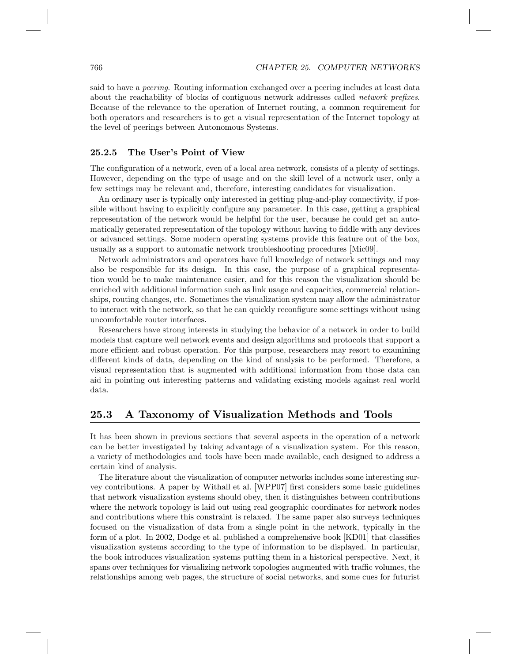said to have a peering. Routing information exchanged over a peering includes at least data about the reachability of blocks of contiguous network addresses called network prefixes. Because of the relevance to the operation of Internet routing, a common requirement for both operators and researchers is to get a visual representation of the Internet topology at the level of peerings between Autonomous Systems.

#### 25.2.5 The User's Point of View

The configuration of a network, even of a local area network, consists of a plenty of settings. However, depending on the type of usage and on the skill level of a network user, only a few settings may be relevant and, therefore, interesting candidates for visualization.

An ordinary user is typically only interested in getting plug-and-play connectivity, if possible without having to explicitly configure any parameter. In this case, getting a graphical representation of the network would be helpful for the user, because he could get an automatically generated representation of the topology without having to fiddle with any devices or advanced settings. Some modern operating systems provide this feature out of the box, usually as a support to automatic network troubleshooting procedures [Mic09].

Network administrators and operators have full knowledge of network settings and may also be responsible for its design. In this case, the purpose of a graphical representation would be to make maintenance easier, and for this reason the visualization should be enriched with additional information such as link usage and capacities, commercial relationships, routing changes, etc. Sometimes the visualization system may allow the administrator to interact with the network, so that he can quickly reconfigure some settings without using uncomfortable router interfaces.

Researchers have strong interests in studying the behavior of a network in order to build models that capture well network events and design algorithms and protocols that support a more efficient and robust operation. For this purpose, researchers may resort to examining different kinds of data, depending on the kind of analysis to be performed. Therefore, a visual representation that is augmented with additional information from those data can aid in pointing out interesting patterns and validating existing models against real world data.

#### 25.3 A Taxonomy of Visualization Methods and Tools

It has been shown in previous sections that several aspects in the operation of a network can be better investigated by taking advantage of a visualization system. For this reason, a variety of methodologies and tools have been made available, each designed to address a certain kind of analysis.

The literature about the visualization of computer networks includes some interesting survey contributions. A paper by Withall et al. [WPP07] first considers some basic guidelines that network visualization systems should obey, then it distinguishes between contributions where the network topology is laid out using real geographic coordinates for network nodes and contributions where this constraint is relaxed. The same paper also surveys techniques focused on the visualization of data from a single point in the network, typically in the form of a plot. In 2002, Dodge et al. published a comprehensive book [KD01] that classifies visualization systems according to the type of information to be displayed. In particular, the book introduces visualization systems putting them in a historical perspective. Next, it spans over techniques for visualizing network topologies augmented with traffic volumes, the relationships among web pages, the structure of social networks, and some cues for futurist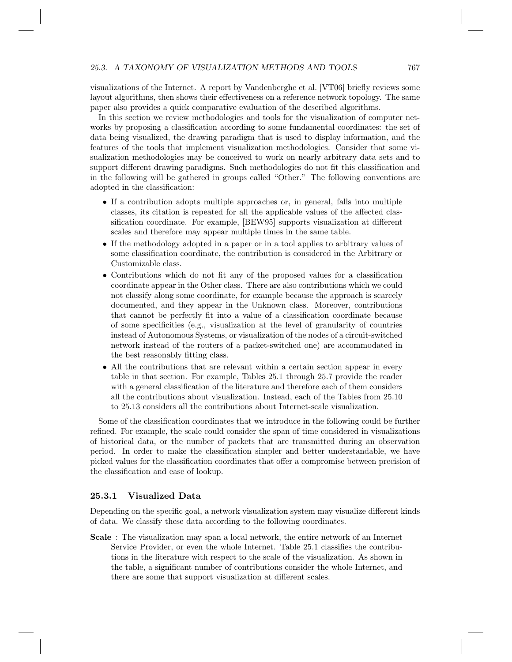visualizations of the Internet. A report by Vandenberghe et al. [VT06] briefly reviews some layout algorithms, then shows their effectiveness on a reference network topology. The same paper also provides a quick comparative evaluation of the described algorithms.

In this section we review methodologies and tools for the visualization of computer networks by proposing a classification according to some fundamental coordinates: the set of data being visualized, the drawing paradigm that is used to display information, and the features of the tools that implement visualization methodologies. Consider that some visualization methodologies may be conceived to work on nearly arbitrary data sets and to support different drawing paradigms. Such methodologies do not fit this classification and in the following will be gathered in groups called "Other." The following conventions are adopted in the classification:

- If a contribution adopts multiple approaches or, in general, falls into multiple classes, its citation is repeated for all the applicable values of the affected classification coordinate. For example, [BEW95] supports visualization at different scales and therefore may appear multiple times in the same table.
- If the methodology adopted in a paper or in a tool applies to arbitrary values of some classification coordinate, the contribution is considered in the Arbitrary or Customizable class.
- Contributions which do not fit any of the proposed values for a classification coordinate appear in the Other class. There are also contributions which we could not classify along some coordinate, for example because the approach is scarcely documented, and they appear in the Unknown class. Moreover, contributions that cannot be perfectly fit into a value of a classification coordinate because of some specificities (e.g., visualization at the level of granularity of countries instead of Autonomous Systems, or visualization of the nodes of a circuit-switched network instead of the routers of a packet-switched one) are accommodated in the best reasonably fitting class.
- All the contributions that are relevant within a certain section appear in every table in that section. For example, Tables 25.1 through 25.7 provide the reader with a general classification of the literature and therefore each of them considers all the contributions about visualization. Instead, each of the Tables from 25.10 to 25.13 considers all the contributions about Internet-scale visualization.

Some of the classification coordinates that we introduce in the following could be further refined. For example, the scale could consider the span of time considered in visualizations of historical data, or the number of packets that are transmitted during an observation period. In order to make the classification simpler and better understandable, we have picked values for the classification coordinates that offer a compromise between precision of the classification and ease of lookup.

#### 25.3.1 Visualized Data

Depending on the specific goal, a network visualization system may visualize different kinds of data. We classify these data according to the following coordinates.

Scale : The visualization may span a local network, the entire network of an Internet Service Provider, or even the whole Internet. Table 25.1 classifies the contributions in the literature with respect to the scale of the visualization. As shown in the table, a significant number of contributions consider the whole Internet, and there are some that support visualization at different scales.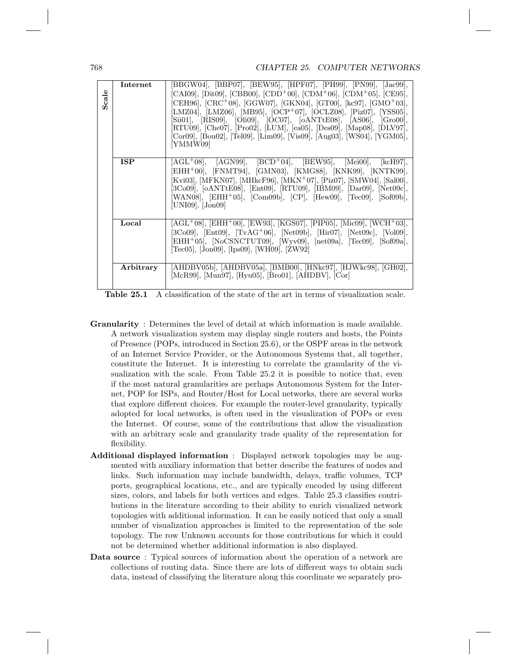#### 768 CHAPTER 25. COMPUTER NETWORKS

| S <sub>cal</sub> | Internet   | [BBGW04], [BBP07], [BEW95], [HPF07], [PH99], [PN99], [Jac99],<br>[CAI09], [Dit09], [CBB00], [CDD <sup>+</sup> 00], [CDM <sup>+</sup> 06], [CDM <sup>+</sup> 05], [CE95],<br>[CEH96], [CRC <sup>+</sup> 08], [GGW07], [GKN04], [GT00], [kc97], [GMO <sup>+</sup> 03],<br>[LMZ04], [LMZ06], [MB95], [OCP <sup>+</sup> 07], [OCLZ08], [Piz07], [YSS05],<br>[Sii01], [RIS09], [Oli09], [OC07], [oANTtE08], [AS06], [Gro00],<br>[RTU09], [Che07], [Pro02], [LUM], [ea05], [Des09], [Map08], [DLV97],<br>[Cor09], [Bou02], [Tel09], [Lim09], [Vis09], [Aug03], [WS04], [YGM05],<br>[YMMW09] |
|------------------|------------|---------------------------------------------------------------------------------------------------------------------------------------------------------------------------------------------------------------------------------------------------------------------------------------------------------------------------------------------------------------------------------------------------------------------------------------------------------------------------------------------------------------------------------------------------------------------------------------|
|                  | <b>ISP</b> | $[AGL^+08]$ , $[AGN99]$ , $[BCD^+04]$ , $[BEW95]$ , $[Mei00]$ , $[keH97]$ ,<br>[EHH <sup>+</sup> 00], [FNMT94], [GMN03], [KMG88], [KNK99], [KNTK99],<br>[Kvi03], [MFKN07], [MHkcF96], [MKN <sup>+</sup> 07], [Piz07], [SMW04], [Sal00],<br>[3Co09], [oANTtE08], [Ent09], [RTU09], [IBM09], [Dar09], [Net09c],<br>[WAN08], [EHH <sup>+</sup> 05], [Com09b], [CP], [Hew09], [Tec09], [Sof09b],<br>[ $UNI09$ ], $[Jon09]$                                                                                                                                                                |
|                  | Local      | $[AGL^+08]$ , [EHH <sup>+</sup> 00], [EW93], [KGS07], [PIP05], [Mic09], [WCH <sup>+</sup> 03],<br>[3Co09], [Ent09], [TvAG <sup>+</sup> 06], [Net09b], [Hir07], [Net09c], [Vol09],<br>[EHH <sup>+</sup> 05], [NoCSNCTUT09], [Wyv09], [net09a], [Tec09], [Sof09a],<br>[Tec05], [Jon09], [Ips09], [WH09], [ZW92]                                                                                                                                                                                                                                                                         |
|                  | Arbitrary  | [AHDBV05b], [AHDBV05a], [BMB00], [HNkc97], [HJWkc98], [GH02],<br>[McR99], [Mun97], [Hyu05], [Bro01], [AHDBV], [Cor]                                                                                                                                                                                                                                                                                                                                                                                                                                                                   |

Table 25.1 A classification of the state of the art in terms of visualization scale.

- Granularity : Determines the level of detail at which information is made available. A network visualization system may display single routers and hosts, the Points of Presence (POPs, introduced in Section 25.6), or the OSPF areas in the network of an Internet Service Provider, or the Autonomous Systems that, all together, constitute the Internet. It is interesting to correlate the granularity of the visualization with the scale. From Table 25.2 it is possible to notice that, even if the most natural granularities are perhaps Autonomous System for the Internet, POP for ISPs, and Router/Host for Local networks, there are several works that explore different choices. For example the router-level granularity, typically adopted for local networks, is often used in the visualization of POPs or even the Internet. Of course, some of the contributions that allow the visualization with an arbitrary scale and granularity trade quality of the representation for flexibility.
- Additional displayed information : Displayed network topologies may be augmented with auxiliary information that better describe the features of nodes and links. Such information may include bandwidth, delays, traffic volumes, TCP ports, geographical locations, etc., and are typically encoded by using different sizes, colors, and labels for both vertices and edges. Table 25.3 classifies contributions in the literature according to their ability to enrich visualized network topologies with additional information. It can be easily noticed that only a small number of visualization approaches is limited to the representation of the sole topology. The row Unknown accounts for those contributions for which it could not be determined whether additional information is also displayed.
- Data source : Typical sources of information about the operation of a network are collections of routing data. Since there are lots of different ways to obtain such data, instead of classifying the literature along this coordinate we separately pro-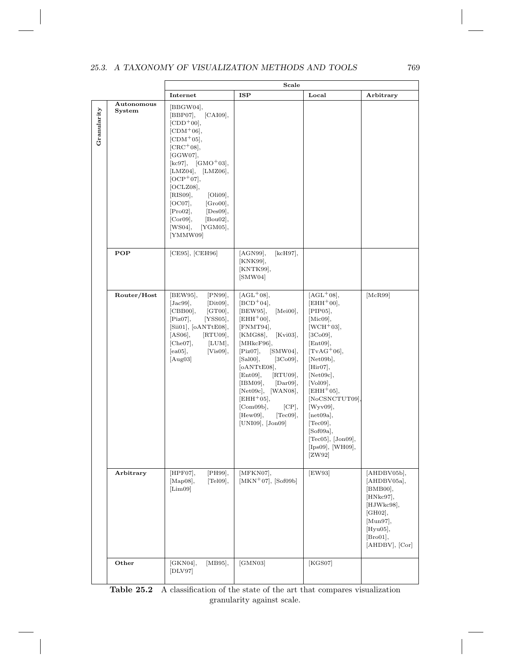#### $25.3. \;$  A TAXONOMY OF VISUALIZATION METHODS AND TOOLS  $\;$  769

|             |                      | Scale                                                                                                                                                                                                                                                                                                                                                  |                                                                                                                                                                                                                                                                                                                                                           |                                                                                                                                                                                                                                                                                                                  |                                                                                                                                    |
|-------------|----------------------|--------------------------------------------------------------------------------------------------------------------------------------------------------------------------------------------------------------------------------------------------------------------------------------------------------------------------------------------------------|-----------------------------------------------------------------------------------------------------------------------------------------------------------------------------------------------------------------------------------------------------------------------------------------------------------------------------------------------------------|------------------------------------------------------------------------------------------------------------------------------------------------------------------------------------------------------------------------------------------------------------------------------------------------------------------|------------------------------------------------------------------------------------------------------------------------------------|
|             |                      | Internet                                                                                                                                                                                                                                                                                                                                               | ISP                                                                                                                                                                                                                                                                                                                                                       | Local                                                                                                                                                                                                                                                                                                            | Arbitrary                                                                                                                          |
| Granularity | Autonomous<br>System | [BBGW04],<br>[CAI09],<br>[BBP07],<br>$[CDD^+00],$<br>$[CDM+06],$<br>$[CDM+05],$<br>$[{\rm CRC}^{+}08],$<br>[GGW07],<br>[ $kc97$ ], [GMO <sup>+</sup> 03],<br>[LMZ04],<br>[LMZ06],<br>$[OCP+07],$<br>[OCLZ08],<br>[RIS09],<br>[Oli09],<br>[OC07],<br>[Gro00],<br>[Pro02],<br>[Des09],<br>[Cor09],<br>$[$ Bou $02]$ ,<br>[WS04],<br>[YGM05],<br>[YMMW09] |                                                                                                                                                                                                                                                                                                                                                           |                                                                                                                                                                                                                                                                                                                  |                                                                                                                                    |
|             | POP                  | [CE95], [CEH96]                                                                                                                                                                                                                                                                                                                                        | [kcH97],<br>[AGN99],<br>[KNK99],<br>[KNTK99],<br>[SMW04]                                                                                                                                                                                                                                                                                                  |                                                                                                                                                                                                                                                                                                                  |                                                                                                                                    |
|             | Router/Host          | [BEW95],<br>$[PN99]$ ,<br>[Jac99],<br>$[_{\text{Dit09}},$<br>[CBB00],<br>[GT00],<br>$[{\rm{Piz}}07],$<br>[YSS05],<br>$[Sii01]$ , $[oANTtE08]$ ,<br>[AS06],<br>[RTU09],<br>[Che07],<br>[LUM],<br>[ea05],<br>[Vis09],<br>[Aug03]                                                                                                                         | $[AGL + 08],$<br>$[BCD+04]$ ,<br>[BEW95],<br>[Mei00],<br>$[EHH+00],$<br>[FNMT94],<br>[KMG88],<br>[Kvi03],<br>[MHkCF96],<br>$[{\rm{Pi}}z07],$<br>[SMW04],<br>[Sa100],<br>[3Co09],<br>[oANTtE08],<br>[Ent09],<br>[RTU09],<br>[IBM09],<br>[Dar09],<br>[Net09c], [WAN08],<br>$[EHH+05],$<br>[Com09b],<br>$[CP]$ ,<br>[Hew09],<br>[Tec09],<br>[UNI09], [Jon09] | $[AGL+08],$<br>$[EHH+00],$<br>[PIP05],<br>$[{\rm Mic}09],$<br>$[WCH+03],$<br>[3Co09],<br>[Ent09],<br>$[TvAG^+06],$<br>[Net09b],<br>[Hiro7],<br>[Net09c],<br>[Vol09],<br>$[EHH+05],$<br>[NoCSNCTUT09],<br>[Wyv09],<br>[net09a],<br>[Tec09],<br>[Sof09a],<br>$[Tec05]$ , $[Jon09]$ ,<br>[Ips09], [WH09],<br>[ZW92] | [McR99]                                                                                                                            |
|             | Arbitrary            | [HPF07],<br>[PH99],<br>[Tel09],<br>[Map08],<br>[Lim09]                                                                                                                                                                                                                                                                                                 | [MFKN07],<br>$[MKN+07]$ , $[Sof09b]$                                                                                                                                                                                                                                                                                                                      | [EW93]                                                                                                                                                                                                                                                                                                           | [AHDBV05b],<br>[AHDBV05a],<br>[BMB00],<br>[HNkc97],<br>[HJWkc98],<br>[GH02],<br>[Mun97],<br>[Hyu05],<br>[Bro01],<br>[AHDBV], [Cor] |
|             | Other                | [GKN04],<br>[MB95],<br>$[{\rm DLV97}]$                                                                                                                                                                                                                                                                                                                 | [GMN03]                                                                                                                                                                                                                                                                                                                                                   | [KGS07]                                                                                                                                                                                                                                                                                                          |                                                                                                                                    |

Table 25.2 A classification of the state of the art that compares visualization granularity against scale.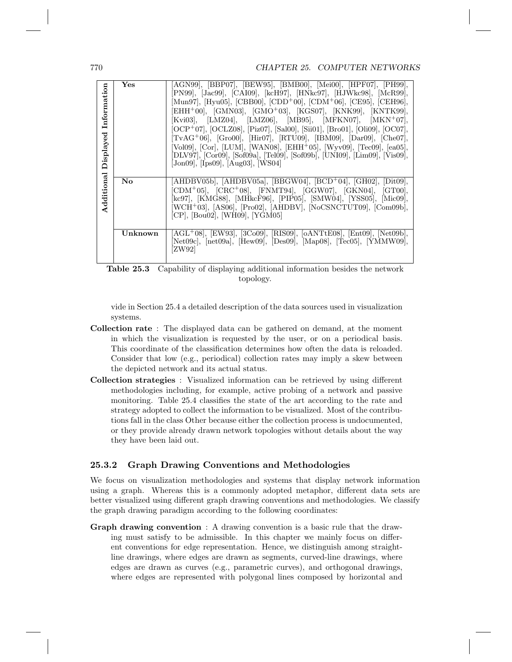#### 770 CHAPTER 25. COMPUTER NETWORKS

| Information<br>Displayed<br>Additional | Yes                    | [AGN99], [BBP07], [BEW95], [BMB00], [Mei00], [HPF07], [PH99],<br>[PN99], [Jac99], [CAI09], [kcH97], [HNkc97], [HJWkc98], [McR99],<br>[Mun97], [Hyu05], [CBB00], [CDD <sup>+</sup> 00], [CDM <sup>+</sup> 06], [CE95], [CEH96],<br>[EHH <sup>+</sup> 00], [GMN03], [GMO <sup>+</sup> 03], [KGS07], [KNK99], [KNTK99],<br>[Kvi03], [LMZ04], [LMZ06], [MB95], [MFKN07], [MKN <sup>+</sup> 07],<br>[OCP <sup>+</sup> 07], [OCLZ08], [Piz07], [Sal00], [Sii01], [Bro01], [Oli09], [OC07],<br>$[TvAG+06]$ , [Gro00], [Hir07], [RTU09], [IBM09], [Dar09], [Che07],<br>[Vol09], [Cor], [LUM], [WAN08], [EHH <sup>+</sup> 05], [Wyv09], [Tec09], [ea05],<br>[DLV97], [Cor09], [Sof09a], [Tel09], [Sof09b], [UNI09], [Lim09], [Vis09],<br>[Jon09], [Ips09], [Aug03], [WS04] |
|----------------------------------------|------------------------|-------------------------------------------------------------------------------------------------------------------------------------------------------------------------------------------------------------------------------------------------------------------------------------------------------------------------------------------------------------------------------------------------------------------------------------------------------------------------------------------------------------------------------------------------------------------------------------------------------------------------------------------------------------------------------------------------------------------------------------------------------------------|
|                                        | $\mathbf{N}\mathbf{o}$ | [AHDBV05b], [AHDBV05a], [BBGW04], [BCD <sup>+</sup> 04], [GH02], [Dit09],<br>$[CDM+05]$ , $[CRC+08]$ , $[FNMT94]$ , $[GGW07]$ , $[GKN04]$ , $[GT00]$ ,<br>[kc97], [KMG88], [MHkcF96], [PIP05], [SMW04], [YSS05], [Mic09],<br>[WCH <sup>+</sup> 03], [AS06], [Pro02], [AHDBV], [NoCSNCTUT09], [Com09b],<br>[CP], [Bou02], [WH09], [YGM05]                                                                                                                                                                                                                                                                                                                                                                                                                          |
|                                        | Unknown                | [AGL <sup>+</sup> 08], [EW93], [3Co09], [RIS09], [oANTtE08], [Ent09], [Net09b],<br>[Net09c], [net09a], [Hew09], [Des09], [Map08], [Tec05], [YMMW09],<br>ZW92                                                                                                                                                                                                                                                                                                                                                                                                                                                                                                                                                                                                      |

Table 25.3 Capability of displaying additional information besides the network topology.

vide in Section 25.4 a detailed description of the data sources used in visualization systems.

- Collection rate : The displayed data can be gathered on demand, at the moment in which the visualization is requested by the user, or on a periodical basis. This coordinate of the classification determines how often the data is reloaded. Consider that low (e.g., periodical) collection rates may imply a skew between the depicted network and its actual status.
- Collection strategies : Visualized information can be retrieved by using different methodologies including, for example, active probing of a network and passive monitoring. Table 25.4 classifies the state of the art according to the rate and strategy adopted to collect the information to be visualized. Most of the contributions fall in the class Other because either the collection process is undocumented, or they provide already drawn network topologies without details about the way they have been laid out.

#### 25.3.2 Graph Drawing Conventions and Methodologies

We focus on visualization methodologies and systems that display network information using a graph. Whereas this is a commonly adopted metaphor, different data sets are better visualized using different graph drawing conventions and methodologies. We classify the graph drawing paradigm according to the following coordinates:

Graph drawing convention : A drawing convention is a basic rule that the drawing must satisfy to be admissible. In this chapter we mainly focus on different conventions for edge representation. Hence, we distinguish among straightline drawings, where edges are drawn as segments, curved-line drawings, where edges are drawn as curves (e.g., parametric curves), and orthogonal drawings, where edges are represented with polygonal lines composed by horizontal and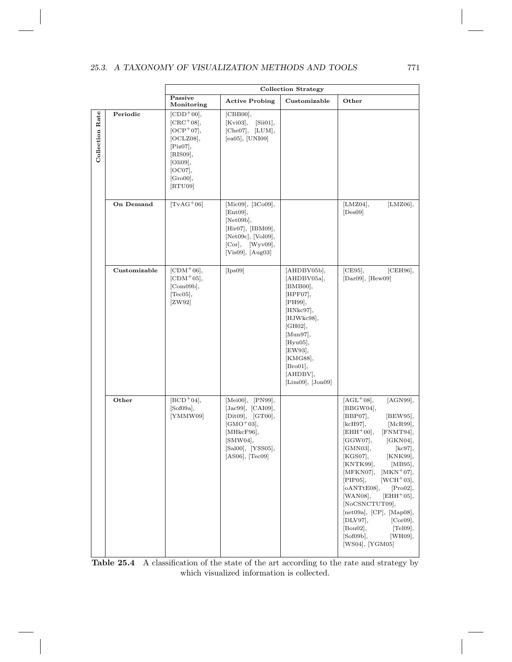|                 |              | <b>Collection Strategy</b>                                                                                                                   |                                                                                                                                                                           |                                                                                                                                                                                                      |                                                                                                                                                                                                                                                                                                                                                                                                                                                                                 |
|-----------------|--------------|----------------------------------------------------------------------------------------------------------------------------------------------|---------------------------------------------------------------------------------------------------------------------------------------------------------------------------|------------------------------------------------------------------------------------------------------------------------------------------------------------------------------------------------------|---------------------------------------------------------------------------------------------------------------------------------------------------------------------------------------------------------------------------------------------------------------------------------------------------------------------------------------------------------------------------------------------------------------------------------------------------------------------------------|
|                 |              | Passive<br>Monitoring                                                                                                                        | <b>Active Probing</b>                                                                                                                                                     | Customizable                                                                                                                                                                                         | Other                                                                                                                                                                                                                                                                                                                                                                                                                                                                           |
| Collection Rate | Periodic     | $[CDD+00],$<br>$[{\rm CRC}^+08],$<br>$[OCP+07],$<br>[OCLZ08],<br>$[{\rm{Pi}}z07],$<br>[RIS09],<br>[Oli09],<br>[OC07],<br>[Gro00],<br>[RTU09] | [CBB00],<br>[Sii01],<br>[Kvi03],<br>[Che07], [LUM],<br>$[ea05]$ , [UNI09]                                                                                                 |                                                                                                                                                                                                      |                                                                                                                                                                                                                                                                                                                                                                                                                                                                                 |
|                 | On Demand    | $[TvAG^+06]$                                                                                                                                 | [Mic09], $[3Co09]$ ,<br>[Ent09],<br>[Net09b],<br>[Hir07], [IBM09],<br>[Net09c], [Vol09],<br>$[Cor], \quad [Wyv09],$<br>$[Vis09]$ , $[Aug03]$                              |                                                                                                                                                                                                      | [LMZ04],<br>[LMZ06],<br>[Des09]                                                                                                                                                                                                                                                                                                                                                                                                                                                 |
|                 | Customizable | $[CDM+06],$<br>$[CDM+05],$<br>[Com09b],<br>$[\mathrm{Tec}05],$<br>[ZW92]                                                                     | [Ips09]                                                                                                                                                                   | [AHDBV05b],<br>[AHDBVO5a],<br>[BMB00],<br>[HPF07],<br>[PH99],<br>[HNkc97],<br>[HJWkc98],<br>[GH02],<br>[Mun97],<br>[Hyu05],<br>[EW93],<br>[KMG88],<br>[Bro01],<br>[AHDBV],<br>[ $Lim09$ ], $[Jon09]$ | [CE95]<br>[CEH96],<br>[Dar09], $[Hew09]$                                                                                                                                                                                                                                                                                                                                                                                                                                        |
|                 | Other        | $[BCD+04],$<br>[Sof09a],<br>[YMMW09]                                                                                                         | [Mei00], [PN99],<br>[Jac99], [CAI09],<br>$[_{Dit09}]$ , $[GT00]$ ,<br>$[GMO^+03],$<br>[MHkcF96],<br>[SMW04],<br>[Sa100], [YSS05],<br>$[\mathrm{AS06}],\;[\mathrm{Tec09}]$ |                                                                                                                                                                                                      | $[AGL + 08],$<br>[AGN99],<br>[BBGW04],<br>[BBP07],<br>[BEW95],<br>[kcH97],<br>[McR99],<br>$[EHH+00],$<br>[FNMT94],<br>[GGW07],<br>[GKN04],<br>[GMN03],<br>[kc97],<br>[KGS07],<br>[KNK99],<br>[KNTK99],<br>[MB95],<br>$[MKN+07],$<br>[MFKN07],<br>$[WCH+03],$<br>[PIP05],<br>[oANTtE08],<br>[Pro02],<br>$[EHH + 05],$<br>[WAN08],<br>[NoCSNCTUT09],<br>[net09a], [CP], [Map08],<br>[DLV97],<br>[Cor09],<br>[Tel09],<br>$[$ Bou02 $],$<br>[Sof09b],<br>[WH09],<br>[WS04], [YGM05] |

Table 25.4 A classification of the state of the art according to the rate and strategy by which visualized information is collected.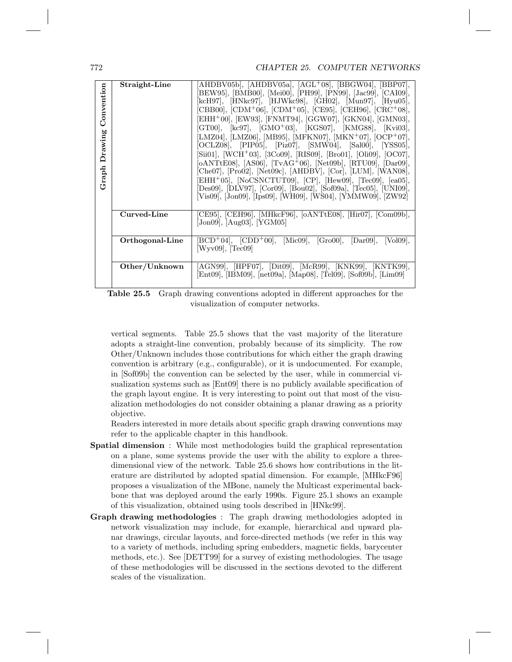#### 772 CHAPTER 25. COMPUTER NETWORKS

| Convention<br>Drawing<br>Graph | Straight-Line   | [AHDBV05b], [AHDBV05a], [AGL+08], [BBGW04], [BBP07],<br>[BEW95], [BMB00], [Mei00], [PH99], [PN99], [Jac99], [CAI09],<br>[kcH97], [HNkc97], [HJWkc98], [GH02], [Mun97], [Hyu05],<br>[CBB00], [CDM <sup>+</sup> 06], [CDM <sup>+</sup> 05], [CE95], [CEH96], [CRC <sup>+</sup> 08],<br>[EHH <sup>+</sup> 00], [EW93], [FNMT94], [GGW07], [GKN04], [GMN03],<br>[GT00], [kc97], [GMO <sup>+</sup> 03], [KGS07], [KMG88], [Kvi03],<br>[LMZ04], [LMZ06], [MB95], [MFKN07], [MKN <sup>+</sup> 07], [OCP <sup>+</sup> 07],<br>[OCLZ08], [PIP05], [Piz07], [SMW04], [Sal00], [YSS05],<br>[Sii01], [WCH <sup>+</sup> 03], [3Co09], [RIS09], [Bro01], [Oli09], [OC07],<br>[oANTtE08], [AS06], [TvAG <sup>+</sup> 06], [Net09b], [RTU09], [Dar09],<br>[Che07], [Pro02], [Net09c], [AHDBV], [Cor], [LUM], [WAN08],<br>[EHH <sup>+</sup> 05], [NoCSNCTUT09], [CP], [Hew09], [Tec09], [ea05],<br>[Des09], [DLV97], [Cor09], [Bou02], [Sof09a], [Tec05], [UNI09],<br>[Vis09], [Jon09], [Ips09], [WH09], [WS04], [YMMW09], [ZW92] |
|--------------------------------|-----------------|------------------------------------------------------------------------------------------------------------------------------------------------------------------------------------------------------------------------------------------------------------------------------------------------------------------------------------------------------------------------------------------------------------------------------------------------------------------------------------------------------------------------------------------------------------------------------------------------------------------------------------------------------------------------------------------------------------------------------------------------------------------------------------------------------------------------------------------------------------------------------------------------------------------------------------------------------------------------------------------------------------------|
|                                | Curved-Line     | [CE95], [CEH96], [MHkcF96], [oANTtE08], [Hir07], [Com09b],<br>[Jon09], [Aug03], [YGM05]                                                                                                                                                                                                                                                                                                                                                                                                                                                                                                                                                                                                                                                                                                                                                                                                                                                                                                                          |
|                                | Orthogonal-Line | $[BCD^{+}04]$ , $[CDD^{+}00]$ , $[Mic09]$ , $[Gro00]$ , $[Dar09]$ , $[Vol09]$ ,<br>[Wyv09], [Tec09]                                                                                                                                                                                                                                                                                                                                                                                                                                                                                                                                                                                                                                                                                                                                                                                                                                                                                                              |
|                                | Other/Unknown   | [AGN99], [HPF07], [Dit09], [McR99], [KNK99], [KNTK99],<br>[Ent09], [IBM09], [net09a], [Map08], [Tel09], [Sof09b], [Lim09]                                                                                                                                                                                                                                                                                                                                                                                                                                                                                                                                                                                                                                                                                                                                                                                                                                                                                        |

Table 25.5 Graph drawing conventions adopted in different approaches for the visualization of computer networks.

vertical segments. Table 25.5 shows that the vast majority of the literature adopts a straight-line convention, probably because of its simplicity. The row Other/Unknown includes those contributions for which either the graph drawing convention is arbitrary (e.g., configurable), or it is undocumented. For example, in [Sof09b] the convention can be selected by the user, while in commercial visualization systems such as [Ent09] there is no publicly available specification of the graph layout engine. It is very interesting to point out that most of the visualization methodologies do not consider obtaining a planar drawing as a priority objective.

Readers interested in more details about specific graph drawing conventions may refer to the applicable chapter in this handbook.

- Spatial dimension : While most methodologies build the graphical representation on a plane, some systems provide the user with the ability to explore a threedimensional view of the network. Table 25.6 shows how contributions in the literature are distributed by adopted spatial dimension. For example, [MHkcF96] proposes a visualization of the MBone, namely the Multicast experimental backbone that was deployed around the early 1990s. Figure 25.1 shows an example of this visualization, obtained using tools described in [HNkc99].
- Graph drawing methodologies : The graph drawing methodologies adopted in network visualization may include, for example, hierarchical and upward planar drawings, circular layouts, and force-directed methods (we refer in this way to a variety of methods, including spring embedders, magnetic fields, barycenter methods, etc.). See [DETT99] for a survey of existing methodologies. The usage of these methodologies will be discussed in the sections devoted to the different scales of the visualization.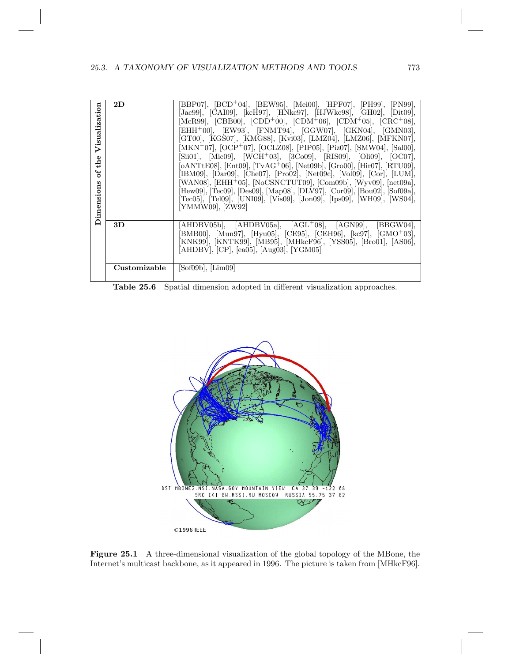| Visualization<br>$_{\rm the}$<br>ಕ<br>imensions | 2D           | [BBP07], [BCD <sup>+</sup> 04], [BEW95], [Mei00], [HPF07], [PH99], [PN99],<br> Jac99 ,  CAI09 ,  kcH97 ,  HNkc97 ,  HJWkc98 ,  GH02 ,  Dit09 ,<br>[McR99], [CBB00], [CDD <sup>+</sup> 00], [CDM <sup>+</sup> 06], [CDM <sup>+</sup> 05], [CRC <sup>+</sup> 08],<br>[EHH <sup>+</sup> 00], [EW93], [FNMT94], [GGW07], [GKN04], [GMN03],<br>[GT00], [KGS07], [KMG88], [Kvi03], [LMZ04], [LMZ06], [MFKN07],<br>[MKN <sup>+</sup> 07], [OCP <sup>+</sup> 07], [OCLZ08], [PIP05], [Piz07], [SMW04], [Sal00],<br>[Sii01], [Mic09], [WCH <sup>+</sup> 03], [3Co09], [RIS09], [Oli09], [OC07],<br>[oANTtE08], [Ent09], [TvAG <sup>+</sup> 06], [Net09b], [Gro00], [Hir07], [RTU09],<br>[IBM09], [Dar09], [Che07], [Pro02], [Net09c], [Vol09], [Cor], [LUM],<br>[WAN08], [EHH <sup>+</sup> 05], [NoCSNCTUT09], [Com09b], [Wyv09], [net09a],<br>[Hew09], [Tec09], [Des09], [Map08], [DLV97], [Cor09], [Bou02], [Sof09a],<br>[Tec05], [Tel09], [UNI09], [Vis09], [Jon09], [Ips09], [WH09], [WS04],<br>[YMMW09], [ZW92] |
|-------------------------------------------------|--------------|-------------------------------------------------------------------------------------------------------------------------------------------------------------------------------------------------------------------------------------------------------------------------------------------------------------------------------------------------------------------------------------------------------------------------------------------------------------------------------------------------------------------------------------------------------------------------------------------------------------------------------------------------------------------------------------------------------------------------------------------------------------------------------------------------------------------------------------------------------------------------------------------------------------------------------------------------------------------------------------------------------------|
| ≏                                               | 3D           | $[AHDBV05b], [AHDBV05a], [AGL^+08], [AGN99], [BBGW04],$<br>[BMB00], [Mun97], [Hyu05], [CE95], [CEH96], [kc97], [GMO <sup>+</sup> 03],<br>[KNK99], [KNTK99], [MB95], [MHkcF96], [YSS05], [Bro01], [AS06],<br>[AHDBV], [CP], [ea05], [Aug03], [YGM05]                                                                                                                                                                                                                                                                                                                                                                                                                                                                                                                                                                                                                                                                                                                                                         |
|                                                 | Customizable | [Sof09b], [Lim09]                                                                                                                                                                                                                                                                                                                                                                                                                                                                                                                                                                                                                                                                                                                                                                                                                                                                                                                                                                                           |

Table 25.6 Spatial dimension adopted in different visualization approaches.



Figure 25.1 A three-dimensional visualization of the global topology of the MBone, the Internet's multicast backbone, as it appeared in 1996. The picture is taken from [MHkcF96].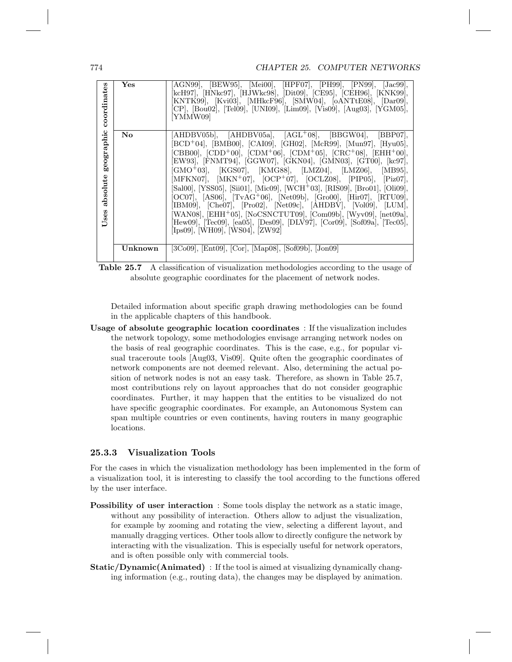| 89<br>coordinat                                   | $\rm Yes$     | [AGN99], [BEW95], [Mei00], [HPF07], [PH99], [PN99], [Jac99],<br>[kcH97], [HNkc97], [HJWkc98], [Dit09], [CE95], [CEH96], [KNK99],<br>[KNTK99], [Kvi03], [MHkcF96], [SMW04], [oANTtE08], [Dar09],<br>[CP], [Bou02], [Tel09], [UNI09], [Lim09], [Vis09], [Aug03], [YGM05],<br>[YMMW09]                                                                                                                                                                                                                                                                                                                                                                                                                                                                                                                                                                                                                                                      |
|---------------------------------------------------|---------------|------------------------------------------------------------------------------------------------------------------------------------------------------------------------------------------------------------------------------------------------------------------------------------------------------------------------------------------------------------------------------------------------------------------------------------------------------------------------------------------------------------------------------------------------------------------------------------------------------------------------------------------------------------------------------------------------------------------------------------------------------------------------------------------------------------------------------------------------------------------------------------------------------------------------------------------|
| geographic<br>absolute<br>w<br>$\frac{6}{5}$<br>⊃ | $\mathbf{No}$ | [AHDBV05b], [AHDBV05a], [AGL <sup>+</sup> 08], [BBGW04], [BBP07],<br>[BCD <sup>+</sup> 04], [BMB00], [CAI09], [GH02], [McR99], [Mun97], [Hyu05],<br>[CBB00], [CDD <sup>+</sup> 00], [CDM <sup>+</sup> 06], [CDM <sup>+</sup> 05], [CRC <sup>+</sup> 08], [EHH <sup>+</sup> 00],<br>[EW93], [FNMT94], [GGW07], [GKN04], [GMN03], [GT00], [kc97],<br>[GMO <sup>+</sup> 03], [KGS07], [KMG88], [LMZ04], [LMZ06], [MB95],<br>[MFKN07], $[MKN+07]$ , $[OCP+07]$ , $[OCLZ08]$ , $[PIP05]$ , $[PiZ07]$ ,<br>[Sal00], [YSS05], [Sii01], [Mic09], [WCH <sup>+</sup> 03], [RIS09], [Bro01], [Oli09],<br>[OC07], [AS06], [TvAG <sup>+</sup> 06], [Net09b], [Gro00], [Hir07], [RTU09],<br>[IBM09], [Che07], [Pro02], [Net09c], [AHDBV], [Vol09], [LUM],<br>[WAN08], [EHH <sup>+</sup> 05], [NoCSNCTUT09], [Com09b], [Wyv09], [net09a],<br>[Hew09], [Tec09], [ea05], [Des09], [DLV97], [Cor09], [Sof09a], [Tec05],<br>[Ips09], [WH09], [WS04], [ZW92] |
|                                                   | Unknown       | $[3Co09]$ , $[Ent09]$ , $[Cor]$ , $[Map08]$ , $[Soft09b]$ , $[Jon09]$                                                                                                                                                                                                                                                                                                                                                                                                                                                                                                                                                                                                                                                                                                                                                                                                                                                                    |

Table 25.7 A classification of visualization methodologies according to the usage of absolute geographic coordinates for the placement of network nodes.

Detailed information about specific graph drawing methodologies can be found in the applicable chapters of this handbook.

Usage of absolute geographic location coordinates : If the visualization includes the network topology, some methodologies envisage arranging network nodes on the basis of real geographic coordinates. This is the case, e.g., for popular visual traceroute tools [Aug03, Vis09]. Quite often the geographic coordinates of network components are not deemed relevant. Also, determining the actual position of network nodes is not an easy task. Therefore, as shown in Table 25.7, most contributions rely on layout approaches that do not consider geographic coordinates. Further, it may happen that the entities to be visualized do not have specific geographic coordinates. For example, an Autonomous System can span multiple countries or even continents, having routers in many geographic locations.

#### 25.3.3 Visualization Tools

For the cases in which the visualization methodology has been implemented in the form of a visualization tool, it is interesting to classify the tool according to the functions offered by the user interface.

- Possibility of user interaction : Some tools display the network as a static image, without any possibility of interaction. Others allow to adjust the visualization, for example by zooming and rotating the view, selecting a different layout, and manually dragging vertices. Other tools allow to directly configure the network by interacting with the visualization. This is especially useful for network operators, and is often possible only with commercial tools.
- Static/Dynamic(Animated) : If the tool is aimed at visualizing dynamically changing information (e.g., routing data), the changes may be displayed by animation.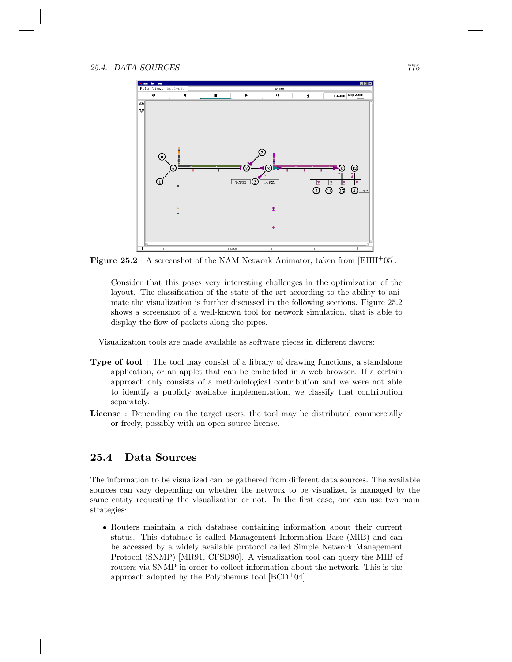

**Figure 25.2** A screenshot of the NAM Network Animator, taken from [EHH<sup>+</sup>05].

Consider that this poses very interesting challenges in the optimization of the layout. The classification of the state of the art according to the ability to animate the visualization is further discussed in the following sections. Figure 25.2 shows a screenshot of a well-known tool for network simulation, that is able to display the flow of packets along the pipes.

Visualization tools are made available as software pieces in different flavors:

- Type of tool : The tool may consist of a library of drawing functions, a standalone application, or an applet that can be embedded in a web browser. If a certain approach only consists of a methodological contribution and we were not able to identify a publicly available implementation, we classify that contribution separately.
- License : Depending on the target users, the tool may be distributed commercially or freely, possibly with an open source license.

#### 25.4 Data Sources

The information to be visualized can be gathered from different data sources. The available sources can vary depending on whether the network to be visualized is managed by the same entity requesting the visualization or not. In the first case, one can use two main strategies:

• Routers maintain a rich database containing information about their current status. This database is called Management Information Base (MIB) and can be accessed by a widely available protocol called Simple Network Management Protocol (SNMP) [MR91, CFSD90]. A visualization tool can query the MIB of routers via SNMP in order to collect information about the network. This is the approach adopted by the Polyphemus tool  $[BCD^+04]$ .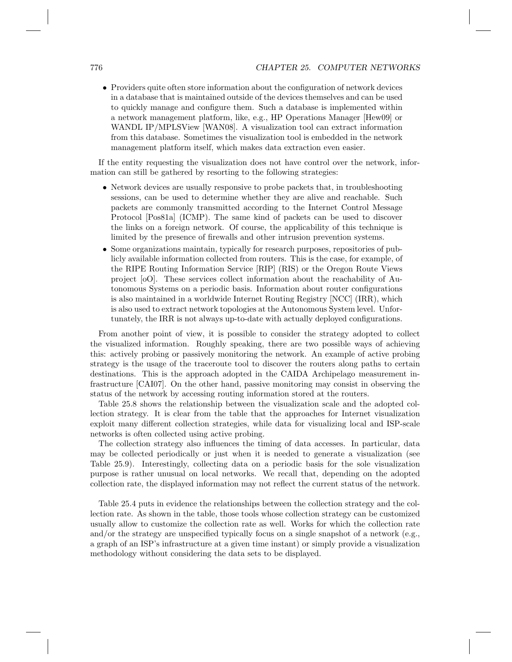• Providers quite often store information about the configuration of network devices in a database that is maintained outside of the devices themselves and can be used to quickly manage and configure them. Such a database is implemented within a network management platform, like, e.g., HP Operations Manager [Hew09] or WANDL IP/MPLSView [WAN08]. A visualization tool can extract information from this database. Sometimes the visualization tool is embedded in the network management platform itself, which makes data extraction even easier.

If the entity requesting the visualization does not have control over the network, information can still be gathered by resorting to the following strategies:

- Network devices are usually responsive to probe packets that, in troubleshooting sessions, can be used to determine whether they are alive and reachable. Such packets are commonly transmitted according to the Internet Control Message Protocol [Pos81a] (ICMP). The same kind of packets can be used to discover the links on a foreign network. Of course, the applicability of this technique is limited by the presence of firewalls and other intrusion prevention systems.
- Some organizations maintain, typically for research purposes, repositories of publicly available information collected from routers. This is the case, for example, of the RIPE Routing Information Service [RIP] (RIS) or the Oregon Route Views project [oO]. These services collect information about the reachability of Autonomous Systems on a periodic basis. Information about router configurations is also maintained in a worldwide Internet Routing Registry [NCC] (IRR), which is also used to extract network topologies at the Autonomous System level. Unfortunately, the IRR is not always up-to-date with actually deployed configurations.

From another point of view, it is possible to consider the strategy adopted to collect the visualized information. Roughly speaking, there are two possible ways of achieving this: actively probing or passively monitoring the network. An example of active probing strategy is the usage of the traceroute tool to discover the routers along paths to certain destinations. This is the approach adopted in the CAIDA Archipelago measurement infrastructure [CAI07]. On the other hand, passive monitoring may consist in observing the status of the network by accessing routing information stored at the routers.

Table 25.8 shows the relationship between the visualization scale and the adopted collection strategy. It is clear from the table that the approaches for Internet visualization exploit many different collection strategies, while data for visualizing local and ISP-scale networks is often collected using active probing.

The collection strategy also influences the timing of data accesses. In particular, data may be collected periodically or just when it is needed to generate a visualization (see Table 25.9). Interestingly, collecting data on a periodic basis for the sole visualization purpose is rather unusual on local networks. We recall that, depending on the adopted collection rate, the displayed information may not reflect the current status of the network.

Table 25.4 puts in evidence the relationships between the collection strategy and the collection rate. As shown in the table, those tools whose collection strategy can be customized usually allow to customize the collection rate as well. Works for which the collection rate and/or the strategy are unspecified typically focus on a single snapshot of a network (e.g., a graph of an ISP's infrastructure at a given time instant) or simply provide a visualization methodology without considering the data sets to be displayed.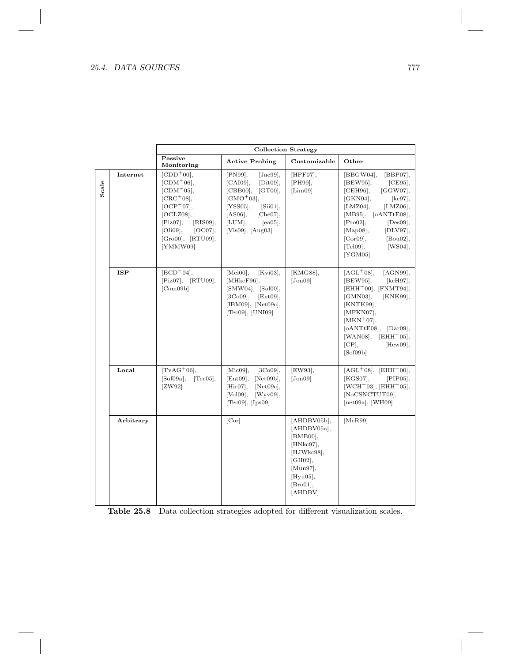|       |            | <b>Collection Strategy</b>                                                                                                                                                         |                                                                                                                                                                                              |                                                                                                                             |                                                                                                                                                                                                                                                                      |
|-------|------------|------------------------------------------------------------------------------------------------------------------------------------------------------------------------------------|----------------------------------------------------------------------------------------------------------------------------------------------------------------------------------------------|-----------------------------------------------------------------------------------------------------------------------------|----------------------------------------------------------------------------------------------------------------------------------------------------------------------------------------------------------------------------------------------------------------------|
|       |            | Passive<br>Monitoring                                                                                                                                                              | <b>Active Probing</b>                                                                                                                                                                        | Customizable                                                                                                                | Other                                                                                                                                                                                                                                                                |
| Scale | Internet   | $[CDD+00],$<br>$[CDM+06],$<br>$[CDM+05],$<br>$[CRC+08],$<br>$[OCP+07]$ ,<br>[OCLZ08],<br>$[{\rm{Piz}}07]$ ,<br>[RIS09],<br>[Oli09],<br>$[OC07]$ ,<br>[Gro00], [RTU09],<br>[YMMW09] | [PN99],<br>[Jac99],<br>[CAI09],<br>$[_{\text{Dit09}}]$ ,<br>[CBB00], [GTO0],<br>$[GMO^+03],$<br>[YSS05],<br>[Sii01],<br>$[AS06]$ ,<br>[Che07],<br>[LUM],<br>[ea05],<br>$[Vis09]$ , $[Aug03]$ | [HPF07],<br>[PH99],<br>[Lim09]                                                                                              | [BBGW04],<br>[BBP07],<br>[BEW95],<br>$[CE95]$ ,<br>$[CEH96]$ ,<br>[GGW07],<br>[GKN04],<br>[kc97],<br>[LMZ04],<br>[LMZ06],<br>[MB95], [oANTtE08],<br>[Pro02],<br>[Des09],<br>[Map08],<br>[DLV97],<br>$[Cor09]$ ,<br>$[$ Bou $02]$ ,<br>[Te109],<br>[WS04],<br>[YGM05] |
|       | <b>ISP</b> | $[BCD^+04],$<br>$[{\rm{Piz}}07]$ , $[{\rm{RT}}U09]$ ,<br>[Com09b]                                                                                                                  | [Mei00],<br>[Kvi03],<br>[MHkCF96],<br>[SMW04], [Sal00],<br>[3Co09], [Ent09],<br>[IBM09], [Net09c],<br>$[Tec09]$ , $[UNI09]$                                                                  | [KMG88],<br>[Join09]                                                                                                        | $[AGL + 08],$<br>[AGN99],<br>[BEW95],<br>[kcH97],<br>$[EHH+00], [FNMT94],$<br>[GMN03],<br>[KNK99],<br>[KNTK99],<br>[MFKN07],<br>$[MKN^+07]$ ,<br>[oANTtE08],<br>[Dar09],<br>[WAN08], $[EHH^+05]$ ,<br>$[CP]$ ,<br>[Hew09],<br>[Soft09b]                              |
|       | Local      | $[TvAG^+06],$<br>[Sof09a],<br>[Tec05],<br>[ZW92]                                                                                                                                   | $[{\rm Mi}c09],$<br>[3Co09],<br>[Ent09], [Net09b],<br>[Hiro7], [Net09c],<br>$[Vol09]$ , $[Wyv09]$ ,<br>$[Tec09]$ , $[Ips09]$                                                                 | [EW93],<br>[Join09]                                                                                                         | $[AGL^{+}08]$ , $[EHH^{+}00]$ ,<br>[KGS07],<br>[PIP05],<br>$[WCH+03]$ , $[EHH+05]$ ,<br>[NoCSNCTUT09],<br>[net09a], [WH09]                                                                                                                                           |
|       | Arbitrary  |                                                                                                                                                                                    | [Cor]                                                                                                                                                                                        | [AHDBV05b],<br>[AHDBV05a],<br>[BMB00],<br>[HNkc97],<br>[HJWkc98],<br>[GH02],<br>[Mun97],<br>[Hyu05],<br>[Bro01],<br>[AHDBV] | [McR99]                                                                                                                                                                                                                                                              |

Table 25.8 Data collection strategies adopted for different visualization scales.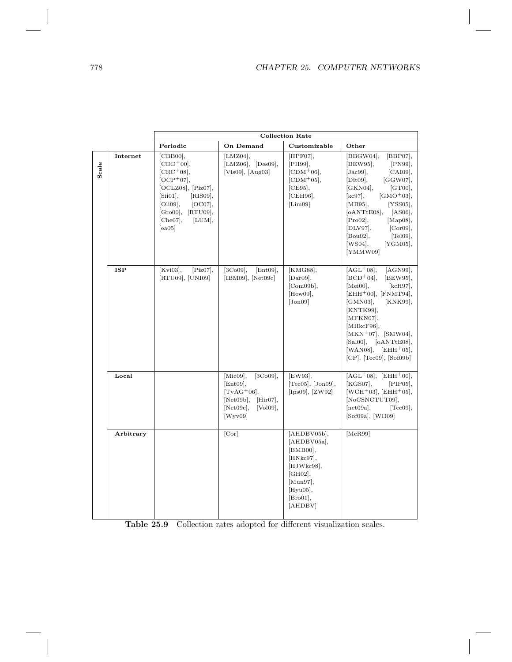|       |            | <b>Collection Rate</b>                                                                                                                                                                          |                                                                                                                        |                                                                                                                                                        |                                                                                                                                                                                                                                                                                                                             |  |
|-------|------------|-------------------------------------------------------------------------------------------------------------------------------------------------------------------------------------------------|------------------------------------------------------------------------------------------------------------------------|--------------------------------------------------------------------------------------------------------------------------------------------------------|-----------------------------------------------------------------------------------------------------------------------------------------------------------------------------------------------------------------------------------------------------------------------------------------------------------------------------|--|
|       |            | Periodic                                                                                                                                                                                        | On Demand                                                                                                              | Customizable                                                                                                                                           | Other                                                                                                                                                                                                                                                                                                                       |  |
| Scale | Internet   | [CBB00],<br>$[CDD+00],$<br>$[{\rm CRC}^+08],$<br>$[OCP+07],$<br>$[OCLZ08]$ , $[Piz07]$ ,<br>[Sii01],<br>[RIS09],<br>$[Oli09]$ ,<br>[OC07],<br>[Gro00], [RTU09],<br>[Che07],<br>[LUM],<br>[ea05] | [LMZ04],<br>[LMZ06], $[Des09]$ ,<br>$[Vis09]$ , $[Aug03]$                                                              | [HPF07],<br>[PH99],<br>$[CDM+06],$<br>$[CDM+05],$<br>$[CE95]$ ,<br>[CEH96],<br>[Lim09]                                                                 | [BBGW04],<br>[BBP07],<br>[BEW95],<br>[PN99],<br>[CAI09],<br>[Jac99],<br>$[_{\text{Dit09}},$<br>[GGW07],<br>[GKN04],<br>[GT00],<br>$[GMO+03],$<br>[kc97],<br>[MB95],<br>[YSS05],<br>[oANTtE08],<br>[AS06],<br>[Pro02],<br>[Map08],<br>[DLV97],<br>[Cor09],<br>$[$ Bou $02]$ ,<br>[Te109],<br>[WS04],<br>[YGM05],<br>[YMMW09] |  |
|       | <b>ISP</b> | [Kvi03],<br>$[{\rm{Piz}}07]$ ,<br>[RTU09], [UNI09]                                                                                                                                              | $[3Co09]$ ,<br>[Ent09],<br>$[IBM09]$ , $[Net09c]$                                                                      | [KMG88],<br>[Dar09],<br>[Com09b],<br>[Hew09],<br>[Join09]                                                                                              | $[AGL+08],$<br>[AGN99],<br>$[BCD^+04],$<br>[BEW95],<br>[Mei00],<br>[kcH97],<br>$[EHH+00]$ , $[FNMT94]$ ,<br>[GMN03],<br>[KNK99],<br>[KNTK99],<br>[MFKN07],<br>[MHkCF96],<br>$[MKN+07]$ , $[SMW04]$ ,<br>[Sal00], [oANTtE08],<br>[WAN08], $[EHH^+05]$ ,<br>$[CP]$ , $[Tec09]$ , $[Sof09b]$                                   |  |
|       | Local      |                                                                                                                                                                                                 | [3Co09],<br>$[{\rm Mic}09],$<br>[Ent09],<br>$[TvAG^+06],$<br>[Net09b],<br>[Hiro7],<br>[Net09c],<br>[Vol09],<br>[Wyv09] | [EW93],<br>$[Tec05]$ , $[Jon09]$ ,<br>$[Ips09]$ , $[ZW92]$                                                                                             | $[AGL+08]$ , $[EHH+00]$ ,<br>[KGS07],<br>[PIP05],<br>$[WCH+03], [EHH+05],$<br>[NoCSNCTUT09],<br>[net09a],<br>$[Tec09]$ ,<br>[Sof09a], [WH09]                                                                                                                                                                                |  |
|       | Arbitrary  |                                                                                                                                                                                                 | [Cor]<br>$\mathbf{1}$ $\mathbf{c}$                                                                                     | [AHDBV05b],<br>[AHDBV05a],<br>[BMB00],<br>[HNkc97],<br>[HJWkc98],<br>[GH02],<br>[Mun97],<br>[Hyu05],<br>[Bro01],<br>[AHDBV]<br>1.0 <sup>n</sup><br>1.1 | [McR99]                                                                                                                                                                                                                                                                                                                     |  |

Table 25.9 Collection rates adopted for different visualization scales.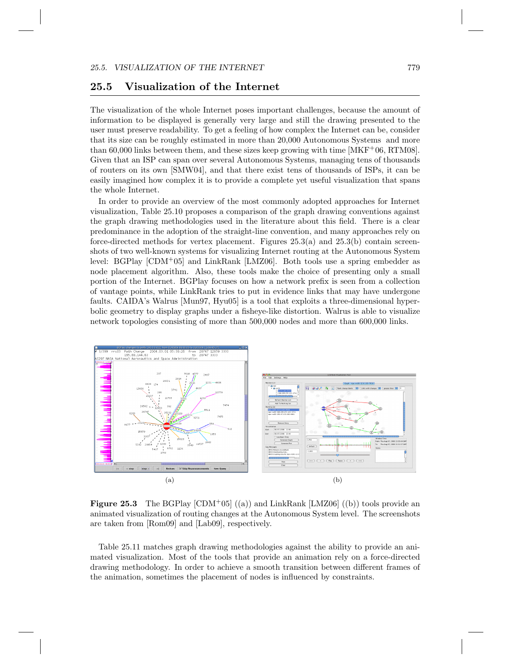#### 25.5 Visualization of the Internet

The visualization of the whole Internet poses important challenges, because the amount of information to be displayed is generally very large and still the drawing presented to the user must preserve readability. To get a feeling of how complex the Internet can be, consider that its size can be roughly estimated in more than 20,000 Autonomous Systems and more than 60,000 links between them, and these sizes keep growing with time  $[MKF<sup>+</sup>06, RTM08]$ . Given that an ISP can span over several Autonomous Systems, managing tens of thousands of routers on its own [SMW04], and that there exist tens of thousands of ISPs, it can be easily imagined how complex it is to provide a complete yet useful visualization that spans the whole Internet.

In order to provide an overview of the most commonly adopted approaches for Internet visualization, Table 25.10 proposes a comparison of the graph drawing conventions against the graph drawing methodologies used in the literature about this field. There is a clear predominance in the adoption of the straight-line convention, and many approaches rely on force-directed methods for vertex placement. Figures  $25.3(a)$  and  $25.3(b)$  contain screenshots of two well-known systems for visualizing Internet routing at the Autonomous System level: BGPlay [CDM+05] and LinkRank [LMZ06]. Both tools use a spring embedder as node placement algorithm. Also, these tools make the choice of presenting only a small portion of the Internet. BGPlay focuses on how a network prefix is seen from a collection of vantage points, while LinkRank tries to put in evidence links that may have undergone faults. CAIDA's Walrus [Mun97, Hyu05] is a tool that exploits a three-dimensional hyperbolic geometry to display graphs under a fisheye-like distortion. Walrus is able to visualize network topologies consisting of more than 500,000 nodes and more than 600,000 links.



**Figure 25.3** The BGPlay  $[CDM+05]$   $((a))$  and LinkRank  $[LMZ06]$   $((b))$  tools provide an animated visualization of routing changes at the Autonomous System level. The screenshots are taken from [Rom09] and [Lab09], respectively.

Table 25.11 matches graph drawing methodologies against the ability to provide an animated visualization. Most of the tools that provide an animation rely on a force-directed drawing methodology. In order to achieve a smooth transition between different frames of the animation, sometimes the placement of nodes is influenced by constraints.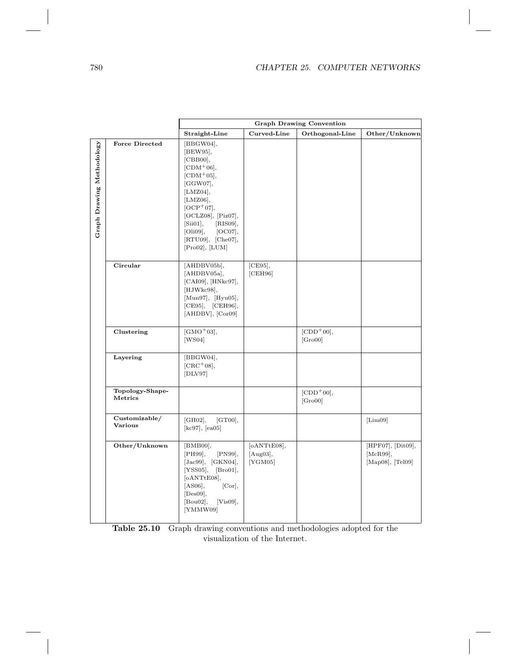|                           |                                 | <b>Graph Drawing Convention</b>                                                                                                                                                                                                          |                                    |                        |                                                   |
|---------------------------|---------------------------------|------------------------------------------------------------------------------------------------------------------------------------------------------------------------------------------------------------------------------------------|------------------------------------|------------------------|---------------------------------------------------|
|                           |                                 | Straight-Line                                                                                                                                                                                                                            | Curved-Line                        | Orthogonal-Line        | Other/Unknown                                     |
| Graph Drawing Methodology | <b>Force Directed</b>           | [BBGW04],<br>[BEW95],<br>[CBB00],<br>$[CDM+06],$<br>$[CDM+05],$<br>[GGW07],<br>[LMZ04],<br>[LMZ06],<br>$[OCP+07]$ ,<br>[OCLZ08], [Piz07],<br>[Sii01],<br>[RIS09],<br>$[Oli09]$ ,<br>[OC07],<br>$[RTU09]$ , $[Che07]$ ,<br>[Pro02], [LUM] |                                    |                        |                                                   |
|                           | Circular                        | [AHDBV05b],<br>[AHDBV05a],<br>$[CAI09]$ , $[HNkc97]$ ,<br>[HJWkc98],<br>[Mun97], [Hyu05],<br>[CE95], [CEH96],<br>[AHDBV], [Cor09]                                                                                                        | $[CE95]$ ,<br>[CEH96]              |                        |                                                   |
|                           | Clustering                      | $[GMO^+03],$<br>[WS04]                                                                                                                                                                                                                   |                                    | $[CDD+00],$<br>[Gro00] |                                                   |
|                           | Layering                        | [BBGW04],<br>$[{\rm CRC}^+08],$<br>[DLV97]                                                                                                                                                                                               |                                    |                        |                                                   |
|                           | Topology-Shape-<br>Metrics      |                                                                                                                                                                                                                                          |                                    | $[CDD+00],$<br>[Gro00] |                                                   |
|                           | Customizable/<br><b>Various</b> | [GH02],<br>[GT00],<br>$[kc97]$ , $[ea05]$                                                                                                                                                                                                |                                    |                        | [Lim09]                                           |
|                           | Other/Unknown                   | [BMB00],<br>[PH99],<br>[PN99],<br>[Jac99], [GKN04],<br>[YSS05],<br>[Bro01],<br>[oANTtE08],<br>[AS06],<br>$[Cor]$ ,<br>[Des09],<br>$[$ Bou $02]$ ,<br>[Vis09],<br>[YMMW09]                                                                | [oANTtE08],<br>[Aug03],<br>[YGM05] |                        | [HPF07], [Dit09],<br>[McR99],<br>[Map08], [Tel09] |

Table 25.10 Graph drawing conventions and methodologies adopted for the visualization of the Internet.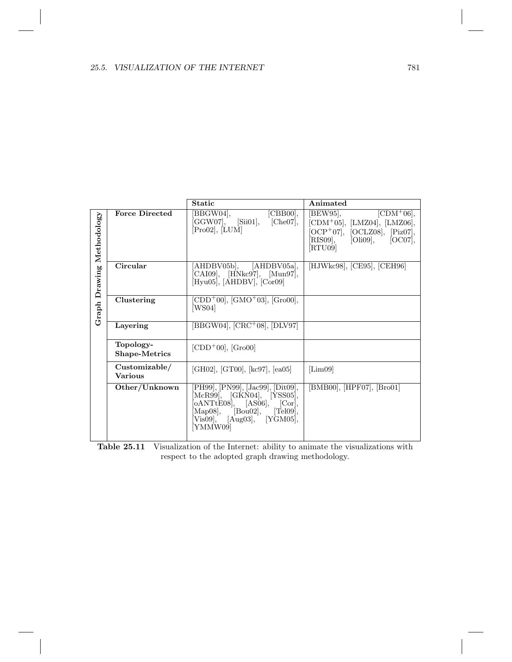|             |                                          | <b>Static</b>                                                                                                                                                                       | Animated                                                                                                                                                 |
|-------------|------------------------------------------|-------------------------------------------------------------------------------------------------------------------------------------------------------------------------------------|----------------------------------------------------------------------------------------------------------------------------------------------------------|
| Methodology | <b>Force Directed</b>                    | BBGW04],<br>[CBB00],<br>$[\text{GGW07}]$ , $[\text{Si}01]$ , $[\text{Che}07]$ ,<br>[Pro02], [LUM]                                                                                   | [BEW95],<br>$[CDM+06],$<br>[CDM <sup>+</sup> 05], [LMZ04], [LMZ06],<br>$[OCP+07]$ , $[OCLZ08]$ , $[Piz07]$ ,<br>RIS09, $[Oli09]$ , $[OC07]$ ,<br>[RTU09] |
| Drawing     | Circular                                 | AHDBV05b], [AHDBV05a],<br>CAI09], [HNkc97], [Mun97],<br>[Hyu05], [AHDBV], [Cor09]                                                                                                   | [HJWkc98], [CE95], [CEH96]                                                                                                                               |
| Graph       | Clustering                               | $[CDD+00]$ , $[GMO+03]$ , $[Gr000]$ ,<br>WS04l                                                                                                                                      |                                                                                                                                                          |
|             | Layering                                 | [BBGW04], $[CRC+08]$ , $[DLV97]$                                                                                                                                                    |                                                                                                                                                          |
|             | Topology-<br>Shape-Metrics               | $[CDD+00]$ , $[Gro00]$                                                                                                                                                              |                                                                                                                                                          |
|             | $\emph{Customizable}/$<br><b>Various</b> | [GH02], [GT00], [kc97], [ea05]                                                                                                                                                      | [Lim09]                                                                                                                                                  |
|             | Other/Unknown                            | PH99], [PN99], [Jac99], [Dit09],<br>McR99, [GKN04], [YSS05],<br>$oANTtE08$ , $[AS06]$ , $[Cor]$ ,<br>Map08, $[Bou02]$ , $[Te109]$ ,<br>$Vis09$ , $[Aug03]$ , $[YGM05]$ ,<br>YMMW09] | [BMB00], [HPF07], [Bro01]                                                                                                                                |

Table 25.11 Visualization of the Internet: ability to animate the visualizations with respect to the adopted graph drawing methodology.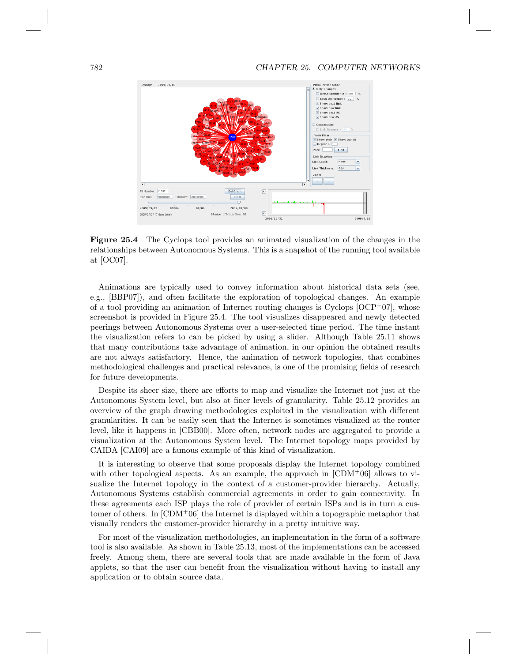

Figure 25.4 The Cyclops tool provides an animated visualization of the changes in the relationships between Autonomous Systems. This is a snapshot of the running tool available at [OC07].

Animations are typically used to convey information about historical data sets (see, e.g., [BBP07]), and often facilitate the exploration of topological changes. An example of a tool providing an animation of Internet routing changes is Cyclops  $[OCP<sup>+</sup>07]$ , whose screenshot is provided in Figure 25.4. The tool visualizes disappeared and newly detected peerings between Autonomous Systems over a user-selected time period. The time instant the visualization refers to can be picked by using a slider. Although Table 25.11 shows that many contributions take advantage of animation, in our opinion the obtained results are not always satisfactory. Hence, the animation of network topologies, that combines methodological challenges and practical relevance, is one of the promising fields of research for future developments.

Despite its sheer size, there are efforts to map and visualize the Internet not just at the Autonomous System level, but also at finer levels of granularity. Table 25.12 provides an overview of the graph drawing methodologies exploited in the visualization with different granularities. It can be easily seen that the Internet is sometimes visualized at the router level, like it happens in [CBB00]. More often, network nodes are aggregated to provide a visualization at the Autonomous System level. The Internet topology maps provided by CAIDA [CAI09] are a famous example of this kind of visualization.

It is interesting to observe that some proposals display the Internet topology combined with other topological aspects. As an example, the approach in  $\text{CDM}^+06$  allows to visualize the Internet topology in the context of a customer-provider hierarchy. Actually, Autonomous Systems establish commercial agreements in order to gain connectivity. In these agreements each ISP plays the role of provider of certain ISPs and is in turn a customer of others. In [CDM<sup>+</sup>06] the Internet is displayed within a topographic metaphor that visually renders the customer-provider hierarchy in a pretty intuitive way.

For most of the visualization methodologies, an implementation in the form of a software tool is also available. As shown in Table 25.13, most of the implementations can be accessed freely. Among them, there are several tools that are made available in the form of Java applets, so that the user can benefit from the visualization without having to install any application or to obtain source data.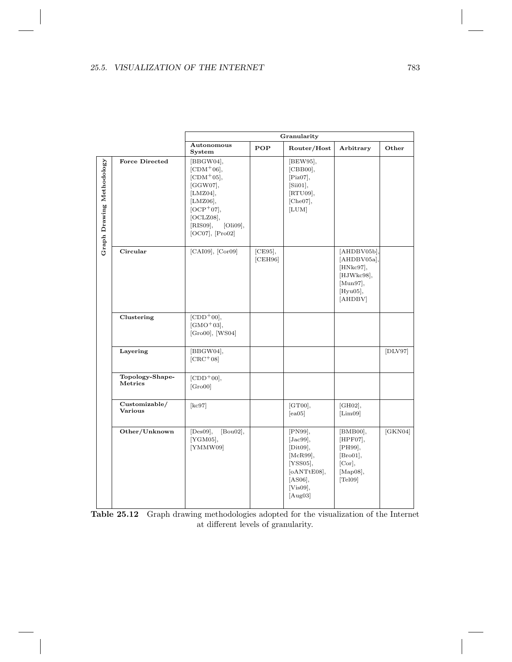#### 25.5. VISUALIZATION OF THE INTERNET 783

|                           |                                 | Granularity                                                                                                                                                   |                       |                                                                                                                      |                                                                                          |         |
|---------------------------|---------------------------------|---------------------------------------------------------------------------------------------------------------------------------------------------------------|-----------------------|----------------------------------------------------------------------------------------------------------------------|------------------------------------------------------------------------------------------|---------|
|                           |                                 | Autonomous<br>System                                                                                                                                          | POP                   | Router/Host                                                                                                          | Arbitrary                                                                                | Other   |
| Graph Drawing Methodology | <b>Force Directed</b>           | [BBGW04],<br>$[CDM+06],$<br>$[CDM+05],$<br>[GGW07],<br>[LMZ04],<br>[LMZ06],<br>$[OCP+07],$<br>$[OCLZ08]$ ,<br>[RIS09],<br>$[Oli09]$ ,<br>$[OC07]$ , $[Pro02]$ |                       | [BEW95],<br>[CBB00],<br>$[{\rm{Piz}}07],$<br>[Sii01],<br>[RTU09],<br>[Che07],<br>[LUM]                               |                                                                                          |         |
|                           | Circular                        | $[CAI09]$ , $[Cor09]$                                                                                                                                         | $[CE95]$ ,<br>[CEH96] |                                                                                                                      | [AHDBV05b],<br>[AHDBV05a],<br>[HNkc97],<br>[HJWkc98],<br>[Mun97],<br>[Hyu05],<br>[AHDBV] |         |
|                           | Clustering                      | $[CDD+00],$<br>$[GMO+03],$<br>[Gro00], [WS04]                                                                                                                 |                       |                                                                                                                      |                                                                                          |         |
|                           | Layering                        | [BBGW04],<br>$[{\rm CRC}^+08]$                                                                                                                                |                       |                                                                                                                      |                                                                                          | [DLV97] |
|                           | Topology-Shape-<br>Metrics      | $[CDD+00],$<br>[Gro00]                                                                                                                                        |                       |                                                                                                                      |                                                                                          |         |
|                           | Customizable/<br><b>Various</b> | [kc97]                                                                                                                                                        |                       | [GT00],<br>[ea05]                                                                                                    | [GH02],<br>[Lim09]                                                                       |         |
|                           | Other/Unknown                   | [Des09],<br>$[$ Bou02 $],$<br>[YGM05],<br>[YMMW09]                                                                                                            |                       | [PN99],<br>[Jac99],<br>$[_{\text{Dit09}}],$<br>[McR99],<br>[YSS05],<br>[oANTtE08],<br>[AS06],<br>[Vis09],<br>[Aug03] | [BMB00],<br>[HPF07],<br>[PH99],<br>[Bro01],<br>$[Cor]$ ,<br>[Map08],<br>[Te109]          | [GKN04] |

Table 25.12 Graph drawing methodologies adopted for the visualization of the Internet at different levels of granularity.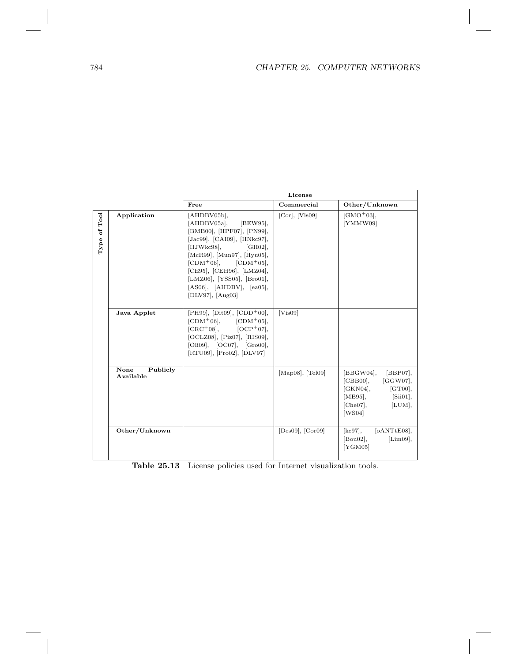|                 |                               | License                                                                                                                                                                                                                                                                                                             |                     |                                                                                                                               |
|-----------------|-------------------------------|---------------------------------------------------------------------------------------------------------------------------------------------------------------------------------------------------------------------------------------------------------------------------------------------------------------------|---------------------|-------------------------------------------------------------------------------------------------------------------------------|
|                 |                               | Free                                                                                                                                                                                                                                                                                                                | Commercial          | Other/Unknown                                                                                                                 |
| Tool<br>Type of | Application                   | [AHDBV05b],<br>[AHDBVO5a],<br>[BEW95],<br>[BMB00], [HPF07], [PN99],<br>[Jac99], [CAI09], [HNkc97],<br>$[HJWkc98],$ $[GH02],$<br>[McR99], [Mun97], [Hyu05],<br>$[CDM^+06]$ , $[CDM^+05]$ ,<br>[CE95], [CEH96], [LMZ04],<br>[LMZ06], [YSS05], [Bro01],<br>$[AS06]$ , $[AHDBV]$ , $[ea05]$ ,<br>[ $DLV97$ ], $[Aug03]$ | $[Cor]$ , $[Vis09]$ | $[GMO^+03],$<br>[YMMW09]                                                                                                      |
|                 | Java Applet                   | [PH99], [Dit09], $[CDD+00]$ ,<br>$[CDM^+06]$ , $[CDM^+05]$ ,<br>$[{\rm CRC}^{+}08]$ , $[{\rm OCP}^{+}07]$ ,<br>[OCLZ08], [Piz07], [RIS09],<br>[Oli09], $[OC07]$ , $[Gro00]$ ,<br>[RTU09], [Pro02], [DLV97]                                                                                                          | [Vis09]             |                                                                                                                               |
|                 | Publicly<br>None<br>Available |                                                                                                                                                                                                                                                                                                                     | $[Map08]$ , [Tel09] | [BBGW04],<br>[BBP07],<br>$[CBB00],$ $[GGW07],$<br>$[GKN04],$ $[GT00],$<br>[MB95],<br>[Sii01],<br>[Che07],<br>[LUM],<br>[WS04] |
|                 | Other/Unknown                 |                                                                                                                                                                                                                                                                                                                     | [Des09], [Cor09]    | $[kc97]$ , $[oANTtE08]$ ,<br>[Lim09],<br>$[$ Bou $02]$ ,<br>[YGM05]                                                           |

Table 25.13 License policies used for Internet visualization tools.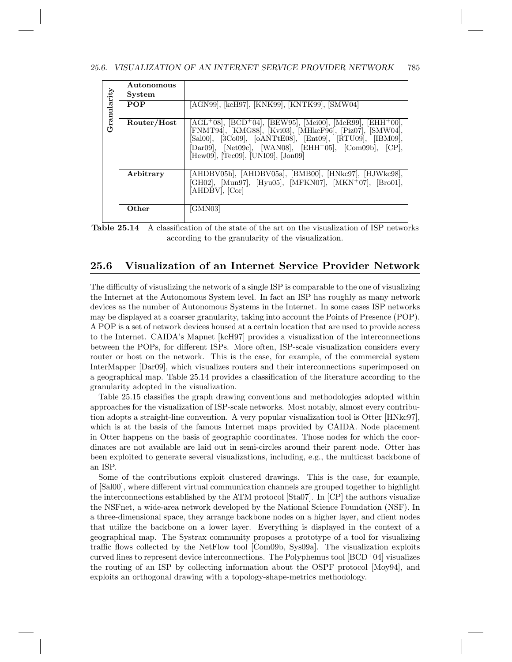|  | 25.6. VISUALIZATION OF AN INTERNET SERVICE PROVIDER NETWORK |  |  |  | 785 |
|--|-------------------------------------------------------------|--|--|--|-----|
|--|-------------------------------------------------------------|--|--|--|-----|

|               | Autonomous    |                                                                                                                                                                                                                                                                                                                                              |
|---------------|---------------|----------------------------------------------------------------------------------------------------------------------------------------------------------------------------------------------------------------------------------------------------------------------------------------------------------------------------------------------|
|               | <b>System</b> |                                                                                                                                                                                                                                                                                                                                              |
| $Granularity$ | <b>POP</b>    | [AGN99], [kcH97], [KNK99], [KNTK99], [SMW04]                                                                                                                                                                                                                                                                                                 |
|               | Router/Host   | $[\overline{\text{AGL}}^+08]$ , [BCD <sup>+</sup> 04], [BEW95], [Mei00], [McR99], [EHH <sup>+</sup> 00],<br>[FNMT94], [KMG88], [Kvi03], [MHkcF96], [Piz07], [SMW04],<br>$[Sal00], [3Co09], [oANTtE08], [Ent09], [RTU09], [IBM09],$<br>[Dar09], [Net09c], [WAN08], [EHH <sup>+</sup> 05], [Com09b], [CP],<br>Hew09, [Tec09], [UNI09], [Jon09] |
|               | Arbitrary     | [AHDBV05b], [AHDBV05a], [BMB00], [HNkc97], [HJWkc98],<br>[GH02], [Mun97], [Hyu05], [MFKN07], [MKN <sup>+</sup> 07], [Bro01],<br>AHDBV, [Cor]                                                                                                                                                                                                 |
|               | Other         | GMN03]                                                                                                                                                                                                                                                                                                                                       |



### 25.6 Visualization of an Internet Service Provider Network

The difficulty of visualizing the network of a single ISP is comparable to the one of visualizing the Internet at the Autonomous System level. In fact an ISP has roughly as many network devices as the number of Autonomous Systems in the Internet. In some cases ISP networks may be displayed at a coarser granularity, taking into account the Points of Presence (POP). A POP is a set of network devices housed at a certain location that are used to provide access to the Internet. CAIDA's Mapnet [kcH97] provides a visualization of the interconnections between the POPs, for different ISPs. More often, ISP-scale visualization considers every router or host on the network. This is the case, for example, of the commercial system InterMapper [Dar09], which visualizes routers and their interconnections superimposed on a geographical map. Table 25.14 provides a classification of the literature according to the granularity adopted in the visualization.

Table 25.15 classifies the graph drawing conventions and methodologies adopted within approaches for the visualization of ISP-scale networks. Most notably, almost every contribution adopts a straight-line convention. A very popular visualization tool is Otter [HNkc97], which is at the basis of the famous Internet maps provided by CAIDA. Node placement in Otter happens on the basis of geographic coordinates. Those nodes for which the coordinates are not available are laid out in semi-circles around their parent node. Otter has been exploited to generate several visualizations, including, e.g., the multicast backbone of an ISP.

Some of the contributions exploit clustered drawings. This is the case, for example, of [Sal00], where different virtual communication channels are grouped together to highlight the interconnections established by the ATM protocol [Sta07]. In [CP] the authors visualize the NSFnet, a wide-area network developed by the National Science Foundation (NSF). In a three-dimensional space, they arrange backbone nodes on a higher layer, and client nodes that utilize the backbone on a lower layer. Everything is displayed in the context of a geographical map. The Systrax community proposes a prototype of a tool for visualizing traffic flows collected by the NetFlow tool [Com09b, Sys09a]. The visualization exploits curved lines to represent device interconnections. The Polyphemus tool  $[BCD<sup>+</sup>04]$  visualizes the routing of an ISP by collecting information about the OSPF protocol [Moy94], and exploits an orthogonal drawing with a topology-shape-metrics methodology.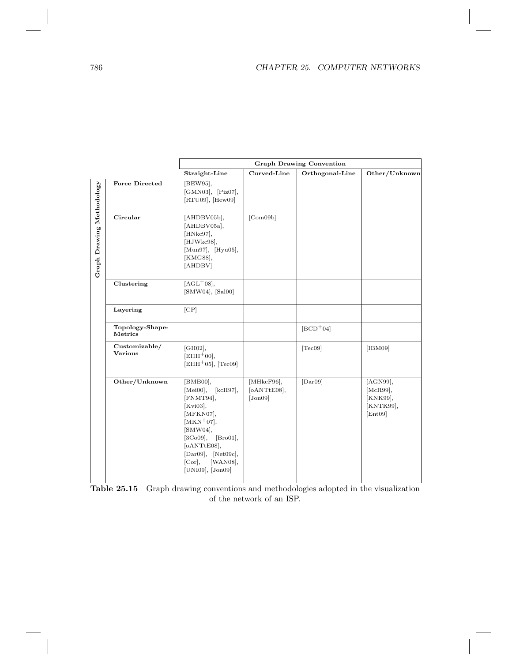|                           |                                 | <b>Graph Drawing Convention</b>                                                                                                                                                                                       |                                       |                 |                                                          |
|---------------------------|---------------------------------|-----------------------------------------------------------------------------------------------------------------------------------------------------------------------------------------------------------------------|---------------------------------------|-----------------|----------------------------------------------------------|
|                           |                                 | <b>Straight-Line</b>                                                                                                                                                                                                  | Curved-Line                           | Orthogonal-Line | Other/Unknown                                            |
| Graph Drawing Methodology | <b>Force Directed</b>           | [BEW95],<br>[GMN03], [Piz07],<br>[RTU09], [Hew09]                                                                                                                                                                     |                                       |                 |                                                          |
|                           | Circular                        | [AHDBV05b],<br>[AHDBV05a],<br>[HNkc97],<br>[HJWkc98],<br>[Mun97], [Hyu05],<br>[KMG88],<br>[AHDBV]                                                                                                                     | [Com09b]                              |                 |                                                          |
|                           | Clustering                      | $[AGL+08],$<br>[SMWO4], [Sal00]                                                                                                                                                                                       |                                       |                 |                                                          |
|                           | Layering                        | [CP]                                                                                                                                                                                                                  |                                       |                 |                                                          |
|                           | Topology-Shape-<br>Metrics      |                                                                                                                                                                                                                       |                                       | $[BCD+04]$      |                                                          |
|                           | Customizable/<br><b>Various</b> | [GH02],<br>$[EHH+00],$<br>$[EHH+05]$ , $[Tec09]$                                                                                                                                                                      |                                       | [Tec09]         | [IBM09]                                                  |
|                           | Other/Unknown                   | [BMB00],<br>[Mei00], [kcH97],<br>[FNMT94],<br>[Kvi03],<br>[MFKN07],<br>$[MKN^{+}07],$<br>[SMW04],<br>$[3Co09]$ , $[Bro01]$ ,<br>[oANTtE08],<br>[Dar09], [Net09c],<br>[WAN08],<br>$[Cor]$ ,<br>[ $UNI09$ ], $ Jon09$ ] | [MHkCF96],<br>[oANTtE08],<br>[Join09] | [Dar09]         | [AGN99],<br>[McR99],<br>[KNK99],<br>[KNTK99],<br>[Ent09] |

Table 25.15 Graph drawing conventions and methodologies adopted in the visualization of the network of an ISP.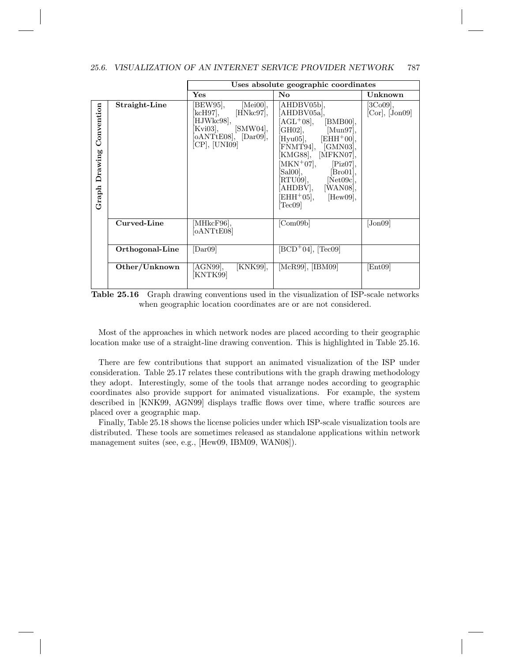|                                |                 |                                                                                                                               | Uses absolute geographic coordinates                                                                                                                                                                                                                                                                                               |                            |
|--------------------------------|-----------------|-------------------------------------------------------------------------------------------------------------------------------|------------------------------------------------------------------------------------------------------------------------------------------------------------------------------------------------------------------------------------------------------------------------------------------------------------------------------------|----------------------------|
|                                |                 | $\mathbf{Yes}$                                                                                                                | No                                                                                                                                                                                                                                                                                                                                 | Unknown                    |
| Convention<br>Drawing<br>Graph | Straight-Line   | BEW95],<br>[Mei00],<br>[kcH97], [HNkc97],<br>HJWkc98],<br>$[Kvi03],$ $[SMW04],$<br>[OANTtE08], [Dar09],<br>$[CP]$ , $[UNI09]$ | [AHDBV05b],<br>[AHDBV05a],<br>$[AGL+08]$ , $[BMB00]$ ,<br>[GH02], $[\text{Mun97}],$<br>$[Hyu05], \qquad [\text{EHH}^+00],$<br>[FMMT94], [GMN03],<br>KMG88, [MFKN07],<br>$[MKN+07],$ [Piz07],<br>[Sal00], $[\text{Bro01}]$ ,<br>$[\text{RTU09}], \qquad [\text{Net09c}],$<br>[AHDBV], [WAN08],<br>$[EHH+05],$ $[Hew09],$<br>[Tec09] | [3Co09],<br>[Cor], [Jon09] |
|                                | Curved-Line     | [MHkcF96],<br>[oANTtE08]                                                                                                      | [Com09b]                                                                                                                                                                                                                                                                                                                           | [Join09]                   |
|                                | Orthogonal-Line | $\left[ Dar09\right]$                                                                                                         | $[BCD+04]$ , $[Tec09]$                                                                                                                                                                                                                                                                                                             |                            |
|                                | Other/Unknown   | [AGN99],<br>[KNK99],<br>[KNTK99]                                                                                              | [McR99], [IBM09]                                                                                                                                                                                                                                                                                                                   | [Ent09]                    |

25.6. VISUALIZATION OF AN INTERNET SERVICE PROVIDER NETWORK 787

Table 25.16 Graph drawing conventions used in the visualization of ISP-scale networks when geographic location coordinates are or are not considered.

Most of the approaches in which network nodes are placed according to their geographic location make use of a straight-line drawing convention. This is highlighted in Table 25.16.

There are few contributions that support an animated visualization of the ISP under consideration. Table 25.17 relates these contributions with the graph drawing methodology they adopt. Interestingly, some of the tools that arrange nodes according to geographic coordinates also provide support for animated visualizations. For example, the system described in [KNK99, AGN99] displays traffic flows over time, where traffic sources are placed over a geographic map.

Finally, Table 25.18 shows the license policies under which ISP-scale visualization tools are distributed. These tools are sometimes released as standalone applications within network management suites (see, e.g., [Hew09, IBM09, WAN08]).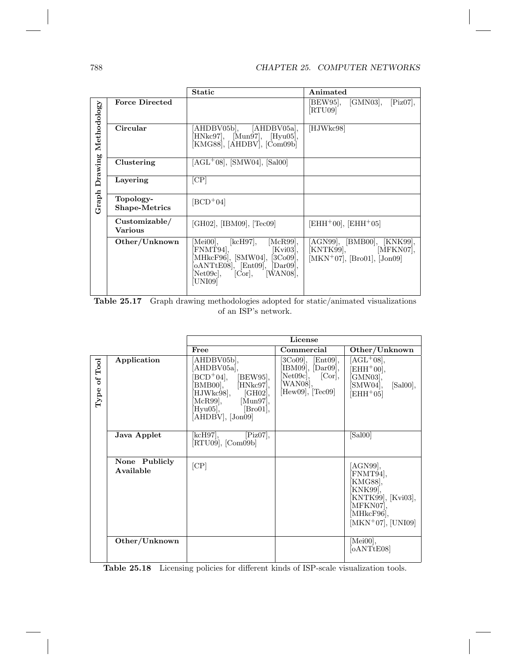#### 788 CHAPTER 25. COMPUTER NETWORKS

|             |                                          | <b>Static</b>                                                                                                                                                | Animated                                                                              |
|-------------|------------------------------------------|--------------------------------------------------------------------------------------------------------------------------------------------------------------|---------------------------------------------------------------------------------------|
|             | <b>Force Directed</b>                    |                                                                                                                                                              | [BEW95], [GMN03],<br>$[{\rm{Pi}}z07]$ ,<br>RTU09]                                     |
| Methodology | Circular                                 | AHDBV05b, [AHDBV05a],<br>[HNkc97], [Mun97], [Hyu05],<br>[KMG88], [AHDBV], [Com09b]                                                                           | [HJWkc98]                                                                             |
| Drawing     | Clustering                               | $[AGL+08]$ , $[SMW04]$ , $[Sal00]$                                                                                                                           |                                                                                       |
|             | Layering                                 | [CP]                                                                                                                                                         |                                                                                       |
| Graph       | Topology-<br>Shape-Metrics               | $[BCD+04]$                                                                                                                                                   |                                                                                       |
|             | $\text{Customizable}/$<br><b>Various</b> | [GH02], $[IBM09]$ , $[Tec09]$                                                                                                                                | $[EHH^+00], [EHH^+05]$                                                                |
|             | Other/Unknown                            | [Mei00], [kcH97], [McR99],<br>FNMT94], $[Kvi03]$ ,<br>[MHkcF96], [SMW04], [3Co09],<br>$[oANTtE08]$ , [Ent09], [Dar09],<br>[Net09c], [Cor], [WAN08],<br>UNI09 | [AGN99], [BMB00], [KNK99],<br>$[KNTK99],$ $[MFKN07],$<br>$[MKN+07], [Bro01], [Jon09]$ |

Table 25.17 Graph drawing methodologies adopted for static/animated visualizations of an ISP's network.

|                          |                            | License                                                                                                                                                                     |                                                                                                     |                                                                                                                         |
|--------------------------|----------------------------|-----------------------------------------------------------------------------------------------------------------------------------------------------------------------------|-----------------------------------------------------------------------------------------------------|-------------------------------------------------------------------------------------------------------------------------|
|                          |                            | Free                                                                                                                                                                        | Commercial                                                                                          | Other/Unknown                                                                                                           |
| Tool<br><b>b</b><br>Type | Application                | [AHDBV05b],<br>[AHDBV05a],<br>$[BCD^+04], \quad [BEW95],$<br>[BMB00], [HNkc97],<br>HJWkc98], [GH02],<br>[McR99], [Mun97],<br>$[Hyu05], \qquad [Bro01],$<br>[AHDBV], [Jon09] | $[3Co09]$ , $[Ent09]$ ,<br>[IBM09], $[Dar09]$ ,<br>[Net09c], [Cor],<br>[WAN08],<br>[Hew09], [Tec09] | $[AGL+08],$<br>$[EHH^+00],$<br>[GMN03],<br>[SMW04],<br>[Sal00],<br>$[EHH^+05]$                                          |
|                          | Java Applet                | $[\text{kcH97}],$ $[\text{Piz07}],$<br>$[RTU09]$ , $[Com09b]$                                                                                                               |                                                                                                     | [Sa100]                                                                                                                 |
|                          | None Publicly<br>Available | [CP]                                                                                                                                                                        |                                                                                                     | [AGN99],<br>FNMT94],<br>[KMG88],<br>[KNK99],<br>[KNTK99], [Kvi03],<br>[MFKN07],<br>[MHkcF96],<br>$[MKN+07]$ , $[UNI09]$ |
|                          | Other/Unknown              |                                                                                                                                                                             |                                                                                                     | [Mei00],<br>[oANTtE08]                                                                                                  |

Table 25.18 Licensing policies for different kinds of ISP-scale visualization tools.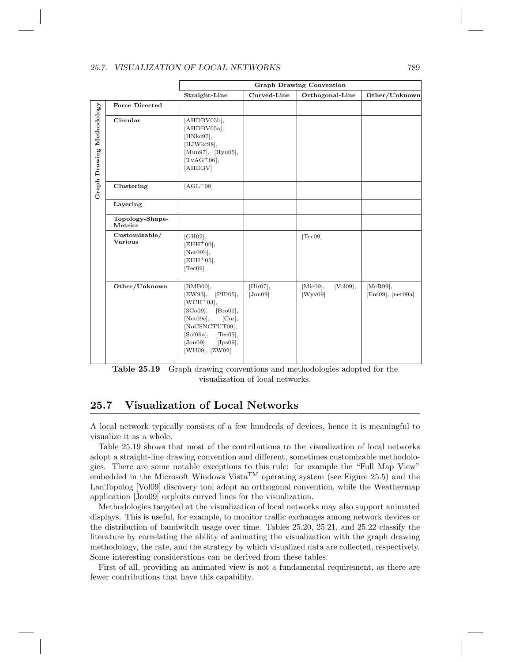#### 25.7. VISUALIZATION OF LOCAL NETWORKS 789

|                           |                                 | <b>Graph Drawing Convention</b>                                                                                                                                                        |                      |                                         |                                       |
|---------------------------|---------------------------------|----------------------------------------------------------------------------------------------------------------------------------------------------------------------------------------|----------------------|-----------------------------------------|---------------------------------------|
|                           |                                 | Straight-Line                                                                                                                                                                          | Curved-Line          | Orthogonal-Line                         | Other/Unknown                         |
| Graph Drawing Methodology | <b>Force Directed</b>           |                                                                                                                                                                                        |                      |                                         |                                       |
|                           | Circular                        | [AHDBV05b],<br>[AHDBV05a],<br>[HNkc97],<br>[HJWkc98],<br>[Mun97], [Hyu05],<br>$[TvAG^+06],$<br>[AHDBV]                                                                                 |                      |                                         |                                       |
|                           | Clustering                      | $[AGL + 08]$                                                                                                                                                                           |                      |                                         |                                       |
|                           | Layering                        |                                                                                                                                                                                        |                      |                                         |                                       |
|                           | Topology-Shape-<br>Metrics      |                                                                                                                                                                                        |                      |                                         |                                       |
|                           | Customizable/<br><b>Various</b> | [GH02],<br>$[EHH+00],$<br>[Net09b],<br>$[EHH + 05],$<br>[Tec09]                                                                                                                        |                      | [Tec09]                                 |                                       |
|                           | Other/Unknown                   | [BMB00],<br>[EW93], [PIP05],<br>$[WCH+03],$<br>$[3Co09]$ ,<br>[Bro01],<br>[Net09c],<br>$[Cor]$ ,<br>[NoCSNCTUT09],<br>[Sof09a], [Tec05],<br>$[Join09]$ ,<br>[Ips09],<br>[WH09], [ZW92] | [Hiro7],<br>[Join09] | $[{\rm Mic}09],$<br>[Vol09],<br>[Wyv09] | [McR99],<br>[ $Ent09$ ], [ $net09a$ ] |

Table 25.19 Graph drawing conventions and methodologies adopted for the visualization of local networks.

#### 25.7 Visualization of Local Networks

A local network typically consists of a few hundreds of devices, hence it is meaningful to visualize it as a whole.

Table 25.19 shows that most of the contributions to the visualization of local networks adopt a straight-line drawing convention and different, sometimes customizable methodologies. There are some notable exceptions to this rule: for example the "Full Map View" embedded in the Microsoft Windows Vista<sup>TM</sup> operating system (see Figure 25.5) and the LanTopolog [Vol09] discovery tool adopt an orthogonal convention, while the Weathermap application [Jon09] exploits curved lines for the visualization.

Methodologies targeted at the visualization of local networks may also support animated displays. This is useful, for example, to monitor traffic exchanges among network devices or the distribution of bandwitdh usage over time. Tables 25.20, 25.21, and 25.22 classify the literature by correlating the ability of animating the visualization with the graph drawing methodology, the rate, and the strategy by which visualized data are collected, respectively. Some interesting considerations can be derived from these tables.

First of all, providing an animated view is not a fundamental requirement, as there are fewer contributions that have this capability.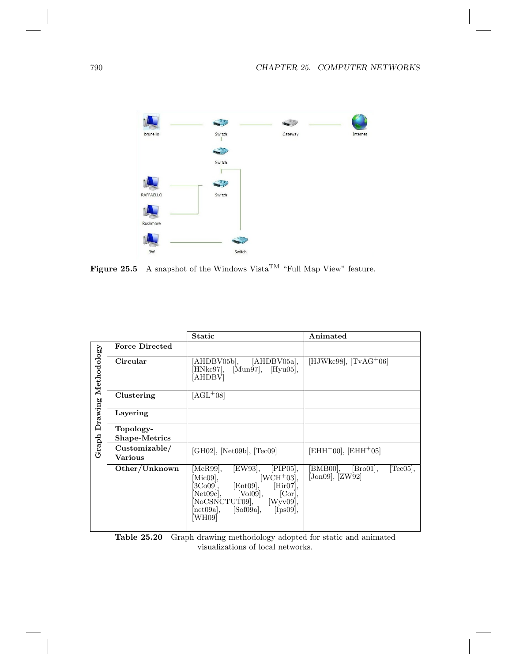

Figure 25.5 A snapshot of the Windows Vista<sup>TM</sup> "Full Map View" feature.

|             |                                    | <b>Static</b>                                                                                                                                                                                                                                    | Animated                                                  |
|-------------|------------------------------------|--------------------------------------------------------------------------------------------------------------------------------------------------------------------------------------------------------------------------------------------------|-----------------------------------------------------------|
| Methodology | <b>Force Directed</b>              |                                                                                                                                                                                                                                                  |                                                           |
|             | Circular                           | AHDBV05b, [AHDBV05a],<br>[HNkc97], [Mun97], [Hyu05],<br>[AHDBV]                                                                                                                                                                                  | [HJWkc98], $[TvAG+06]$                                    |
|             | Clustering                         | $[AGL + 08]$                                                                                                                                                                                                                                     |                                                           |
| Drawing     | Layering                           |                                                                                                                                                                                                                                                  |                                                           |
|             | Topology-<br>Shape-Metrics         |                                                                                                                                                                                                                                                  |                                                           |
| $Graph$     | $C$ ustomizable/<br><b>Various</b> | $[GH02]$ , $[Net09b]$ , $[Tec09]$                                                                                                                                                                                                                | $[EHH+00]$ , $[EHH+05]$                                   |
|             | Other/Unknown                      | [McR99], [EW93], [PIP05],<br>[Mic09], $[WCH+03]$ ,<br>$[3Co09]$ , $[Ent09]$ , $[Hiro7]$ ,<br>$[Net09c], \qquad [Vol09], \qquad [Cor],$<br>$[NoCSNCTUT09],$ $[Wyv09],$<br>$[\text{net09a}], \quad [\text{Sof09a}], \quad [\text{Ips09}],$<br>WH09 | [BMB00], [Bro01],<br>$ Tec05 $ ,<br>$[Join09]$ , $[ZW92]$ |

Table 25.20 Graph drawing methodology adopted for static and animated visualizations of local networks.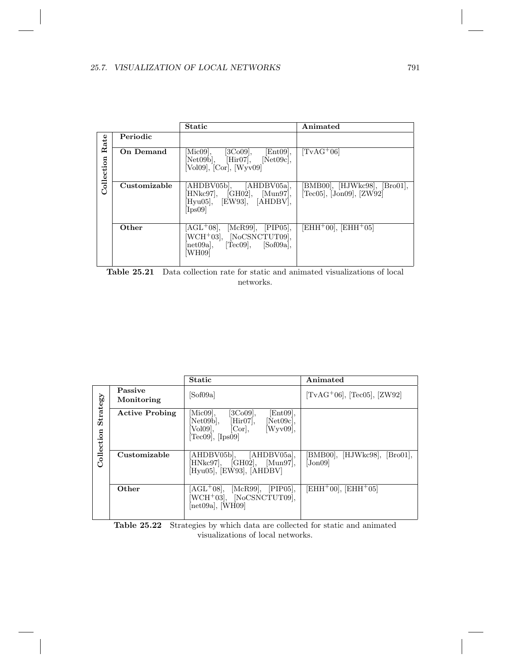|            |              | <b>Static</b>                                                                                                          | Animated                                                         |
|------------|--------------|------------------------------------------------------------------------------------------------------------------------|------------------------------------------------------------------|
| Rate       | Periodic     |                                                                                                                        |                                                                  |
| Collection | On Demand    | [Mic09], $[3Co09]$ ,<br>[Ent09],<br>[Net09b], [Hir07], [Net09c],<br>[Vol09], [Cor], [Wyv09]                            | $[TvAG^+06]$                                                     |
|            | Customizable | [AHDBV05b], [AHDBV05a],<br>[HNkc97], [GH02], [Mun97],<br>[Hyu05], [EW93], [AHDBV],<br>[Ips09]                          | [BMB00], [HJWkc98], [Bro01],<br>$[Tec05]$ , $[Jon09]$ , $[ZW92]$ |
|            | Other        | $[AGL+08], [McR99], [PIP05],$<br>$[WCH+03]$ , $[NoCSNCTUT09]$ ,<br>$[net09a], \quad [Tec09], \quad [Sof09a],$<br>WH09] | $[EHH^+00], [EHH^+05]$                                           |

Table 25.21 Data collection rate for static and animated visualizations of local networks.

|                               |                       | <b>Static</b>                                                                                                                                    | Animated                                                       |
|-------------------------------|-----------------------|--------------------------------------------------------------------------------------------------------------------------------------------------|----------------------------------------------------------------|
|                               | Passive<br>Monitoring | [Sof09a]                                                                                                                                         | $[TvAG+06]$ , $[Tec05]$ , $[ZW92]$                             |
| <b>Strategy</b><br>Collection | <b>Active Probing</b> | $[{\rm Mic09}],$<br>$[3\text{Co}09]$ ,<br>[Ent09],<br>[Net09b], [Hiro7],<br>[Net09c],<br>$Vol09$ , $[Cor]$ ,<br>$[Wvv09]$ ,<br>$Tec09$ , [Ips09] |                                                                |
|                               | Customizable          | AHDBV05b], [AHDBV05a],<br>HNkc97, [GH02], [Mun97],<br>[Hyu05], [EW93], [AHDBV]                                                                   | BMB00].<br>[HJWkc98],<br>$ B_{\rm TO}01 $ ,<br>$\text{Join}09$ |
|                               | Other                 | $[\text{AGL}^+08],$<br>[McR99], [PIP05],<br>$[WCH+03]$ , $[NoCSNCTUT09]$ ,<br>[net09a], [WH09]                                                   | $[EHH+00], [EHH+05]$                                           |

Table 25.22 Strategies by which data are collected for static and animated visualizations of local networks.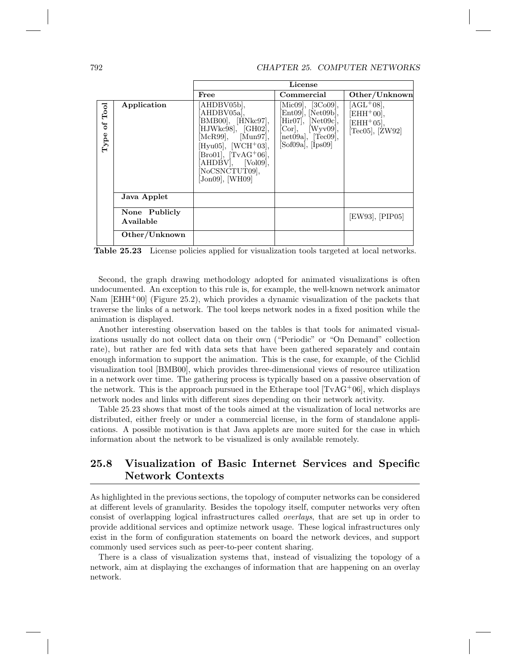|                    |                            |                                                                                                                                                                                                               | License                                                                                                                                   |                                                                   |
|--------------------|----------------------------|---------------------------------------------------------------------------------------------------------------------------------------------------------------------------------------------------------------|-------------------------------------------------------------------------------------------------------------------------------------------|-------------------------------------------------------------------|
|                    |                            | Free                                                                                                                                                                                                          | Commercial                                                                                                                                | Other/Unknown                                                     |
| Tool<br>ЪÓ<br>Type | Application                | AHDBV05b],<br>AHDBV05al.<br>BMB00, [HNkc97],<br>$[HJWkc98]$ , $[GH02]$ ,<br>[McR99], [Mun97],<br>$[Hyu05]$ , $[WCH+03]$ ,<br>$[Bro01], [TvAG+06],$<br>$[AHDBV],$ $[Vol09],$<br>NoCSNCTUT09],<br>Jon09, [WH09] | [Mic09], [3Co09],<br>$[Ent09]$ , $[Net09b]$ ,<br>[Hiro7], [Net09c],<br>$[Cor], \quad [Wyv09],$<br>[net09a], [Tec09],<br>[Sof09a], [Ips09] | $[AGL+08],$<br>$[EHH+00],$<br>$[EHH+05],$<br>$[Tec05]$ , $[ZW92]$ |
|                    | Java Applet                |                                                                                                                                                                                                               |                                                                                                                                           |                                                                   |
|                    | None Publicly<br>Available |                                                                                                                                                                                                               |                                                                                                                                           | $[EW93]$ , $[PIP05]$                                              |
|                    | Other/Unknown              |                                                                                                                                                                                                               |                                                                                                                                           |                                                                   |

Table 25.23 License policies applied for visualization tools targeted at local networks.

Second, the graph drawing methodology adopted for animated visualizations is often undocumented. An exception to this rule is, for example, the well-known network animator Nam [EHH+00] (Figure 25.2), which provides a dynamic visualization of the packets that traverse the links of a network. The tool keeps network nodes in a fixed position while the animation is displayed.

Another interesting observation based on the tables is that tools for animated visualizations usually do not collect data on their own ("Periodic" or "On Demand" collection rate), but rather are fed with data sets that have been gathered separately and contain enough information to support the animation. This is the case, for example, of the Cichlid visualization tool [BMB00], which provides three-dimensional views of resource utilization in a network over time. The gathering process is typically based on a passive observation of the network. This is the approach pursued in the Etherape tool  $[TvAG^{+}06]$ , which displays network nodes and links with different sizes depending on their network activity.

Table 25.23 shows that most of the tools aimed at the visualization of local networks are distributed, either freely or under a commercial license, in the form of standalone applications. A possible motivation is that Java applets are more suited for the case in which information about the network to be visualized is only available remotely.

### 25.8 Visualization of Basic Internet Services and Specific Network Contexts

As highlighted in the previous sections, the topology of computer networks can be considered at different levels of granularity. Besides the topology itself, computer networks very often consist of overlapping logical infrastructures called overlays, that are set up in order to provide additional services and optimize network usage. These logical infrastructures only exist in the form of configuration statements on board the network devices, and support commonly used services such as peer-to-peer content sharing.

There is a class of visualization systems that, instead of visualizing the topology of a network, aim at displaying the exchanges of information that are happening on an overlay network.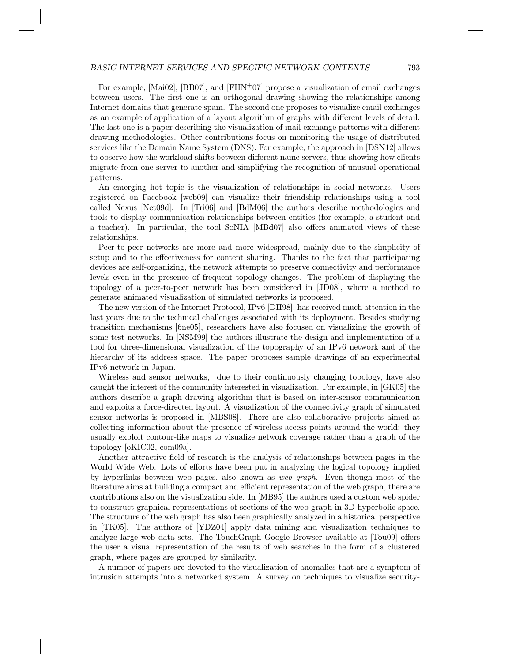#### BASIC INTERNET SERVICES AND SPECIFIC NETWORK CONTEXTS 793

For example,  $[Mai02]$ ,  $[BBO7]$ , and  $[FHN<sup>+</sup>07]$  propose a visualization of email exchanges between users. The first one is an orthogonal drawing showing the relationships among Internet domains that generate spam. The second one proposes to visualize email exchanges as an example of application of a layout algorithm of graphs with different levels of detail. The last one is a paper describing the visualization of mail exchange patterns with different drawing methodologies. Other contributions focus on monitoring the usage of distributed services like the Domain Name System (DNS). For example, the approach in [DSN12] allows to observe how the workload shifts between different name servers, thus showing how clients migrate from one server to another and simplifying the recognition of unusual operational patterns.

An emerging hot topic is the visualization of relationships in social networks. Users registered on Facebook [web09] can visualize their friendship relationships using a tool called Nexus [Net09d]. In [Tri06] and [BdM06] the authors describe methodologies and tools to display communication relationships between entities (for example, a student and a teacher). In particular, the tool SoNIA [MBd07] also offers animated views of these relationships.

Peer-to-peer networks are more and more widespread, mainly due to the simplicity of setup and to the effectiveness for content sharing. Thanks to the fact that participating devices are self-organizing, the network attempts to preserve connectivity and performance levels even in the presence of frequent topology changes. The problem of displaying the topology of a peer-to-peer network has been considered in [JD08], where a method to generate animated visualization of simulated networks is proposed.

The new version of the Internet Protocol, IPv6 [DH98], has received much attention in the last years due to the technical challenges associated with its deployment. Besides studying transition mechanisms [6ne05], researchers have also focused on visualizing the growth of some test networks. In [NSM99] the authors illustrate the design and implementation of a tool for three-dimensional visualization of the topography of an IPv6 network and of the hierarchy of its address space. The paper proposes sample drawings of an experimental IPv6 network in Japan.

Wireless and sensor networks, due to their continuously changing topology, have also caught the interest of the community interested in visualization. For example, in [GK05] the authors describe a graph drawing algorithm that is based on inter-sensor communication and exploits a force-directed layout. A visualization of the connectivity graph of simulated sensor networks is proposed in [MBS08]. There are also collaborative projects aimed at collecting information about the presence of wireless access points around the world: they usually exploit contour-like maps to visualize network coverage rather than a graph of the topology [oKIC02, com09a].

Another attractive field of research is the analysis of relationships between pages in the World Wide Web. Lots of efforts have been put in analyzing the logical topology implied by hyperlinks between web pages, also known as web graph. Even though most of the literature aims at building a compact and efficient representation of the web graph, there are contributions also on the visualization side. In [MB95] the authors used a custom web spider to construct graphical representations of sections of the web graph in 3D hyperbolic space. The structure of the web graph has also been graphically analyzed in a historical perspective in [TK05]. The authors of [YDZ04] apply data mining and visualization techniques to analyze large web data sets. The TouchGraph Google Browser available at [Tou09] offers the user a visual representation of the results of web searches in the form of a clustered graph, where pages are grouped by similarity.

A number of papers are devoted to the visualization of anomalies that are a symptom of intrusion attempts into a networked system. A survey on techniques to visualize security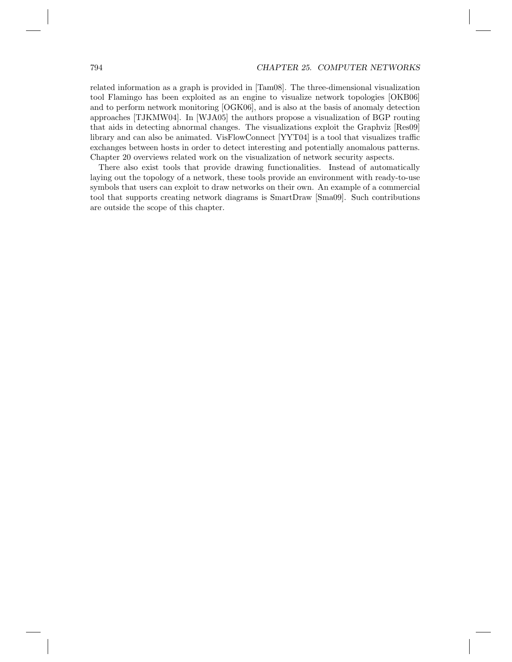related information as a graph is provided in [Tam08]. The three-dimensional visualization tool Flamingo has been exploited as an engine to visualize network topologies [OKB06] and to perform network monitoring [OGK06], and is also at the basis of anomaly detection approaches [TJKMW04]. In [WJA05] the authors propose a visualization of BGP routing that aids in detecting abnormal changes. The visualizations exploit the Graphviz [Res09] library and can also be animated. VisFlowConnect [YYT04] is a tool that visualizes traffic exchanges between hosts in order to detect interesting and potentially anomalous patterns. Chapter 20 overviews related work on the visualization of network security aspects.

There also exist tools that provide drawing functionalities. Instead of automatically laying out the topology of a network, these tools provide an environment with ready-to-use symbols that users can exploit to draw networks on their own. An example of a commercial tool that supports creating network diagrams is SmartDraw [Sma09]. Such contributions are outside the scope of this chapter.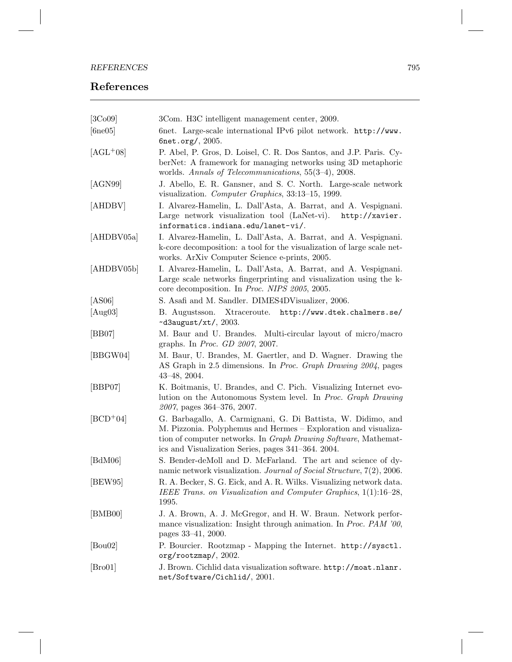#### REFERENCES 795

## References

| [3C <sub>009</sub> ]        | 3Com. H3C intelligent management center, 2009.                                                                                                                                                                                                           |
|-----------------------------|----------------------------------------------------------------------------------------------------------------------------------------------------------------------------------------------------------------------------------------------------------|
| [6ne05]                     | 6 formational IPv6 pilot network. http://www.<br>6net.org/ $, 2005$ .                                                                                                                                                                                    |
| $[AGL+08]$                  | P. Abel, P. Gros, D. Loisel, C. R. Dos Santos, and J.P. Paris. Cy-<br>berNet: A framework for managing networks using 3D metaphoric<br>worlds. Annals of Telecommunications, $55(3-4)$ , $2008$ .                                                        |
| [AGN99]                     | J. Abello, E. R. Gansner, and S. C. North. Large-scale network<br>visualization. Computer Graphics, 33:13-15, 1999.                                                                                                                                      |
| [AHDBV]                     | I. Alvarez-Hamelin, L. Dall'Asta, A. Barrat, and A. Vespignani.<br>Large network visualization tool (LaNet-vi).<br>http://xavier.<br>informatics.indiana.edu/lanet-vi/.                                                                                  |
| [AHDBV05a]                  | I. Alvarez-Hamelin, L. Dall'Asta, A. Barrat, and A. Vespignani.<br>k-core decomposition: a tool for the visualization of large scale net-<br>works. ArXiv Computer Science e-prints, 2005.                                                               |
| [AHDBV05b]                  | I. Alvarez-Hamelin, L. Dall'Asta, A. Barrat, and A. Vespignani.<br>Large scale networks fingerprinting and visualization using the k-<br>core decomposition. In Proc. NIPS 2005, 2005.                                                                   |
| [AS06]                      | S. Asafi and M. Sandler. DIMES4DV is ualizer, 2006.                                                                                                                                                                                                      |
| [Aug03]                     | B. Augustsson. Xtraceroute.<br>http://www.dtek.chalmers.se/<br>$\sim$ d3august/xt/, 2003.                                                                                                                                                                |
| [BB07]                      | M. Baur and U. Brandes. Multi-circular layout of micro/macro<br>graphs. In Proc. GD 2007, 2007.                                                                                                                                                          |
| [BBGW04]                    | M. Baur, U. Brandes, M. Gaertler, and D. Wagner. Drawing the<br>AS Graph in 2.5 dimensions. In Proc. Graph Drawing 2004, pages<br>$43-48, 2004.$                                                                                                         |
| [BBP07]                     | K. Boitmanis, U. Brandes, and C. Pich. Visualizing Internet evo-<br>lution on the Autonomous System level. In <i>Proc. Graph Drawing</i><br>2007, pages 364–376, 2007.                                                                                   |
| $[BCD+04]$                  | G. Barbagallo, A. Carmignani, G. Di Battista, W. Didimo, and<br>M. Pizzonia. Polyphemus and Hermes – Exploration and visualiza-<br>tion of computer networks. In Graph Drawing Software, Mathemat-<br>ics and Visualization Series, pages 341–364. 2004. |
| [BdM06]                     | S. Bender-deMoll and D. McFarland. The art and science of dy-<br>namic network visualization. Journal of Social Structure, $7(2)$ , 2006.                                                                                                                |
| [BEW95]                     | R. A. Becker, S. G. Eick, and A. R. Wilks. Visualizing network data.<br>IEEE Trans. on Visualization and Computer Graphics, 1(1):16-28,<br>1995.                                                                                                         |
| [BMB00]                     | J. A. Brown, A. J. McGregor, and H. W. Braun. Network perfor-<br>mance visualization: Insight through animation. In Proc. PAM '00,<br>pages 33-41, 2000.                                                                                                 |
| [Bou02]                     | P. Bourcier. Rootzmap - Mapping the Internet. http://sysctl.<br>$org/rootzmap/$ , 2002.                                                                                                                                                                  |
| $\left[\text{Bro01}\right]$ | J. Brown. Cichlid data visualization software. http://moat.nlanr.<br>net/Software/Cichlid/, 2001.                                                                                                                                                        |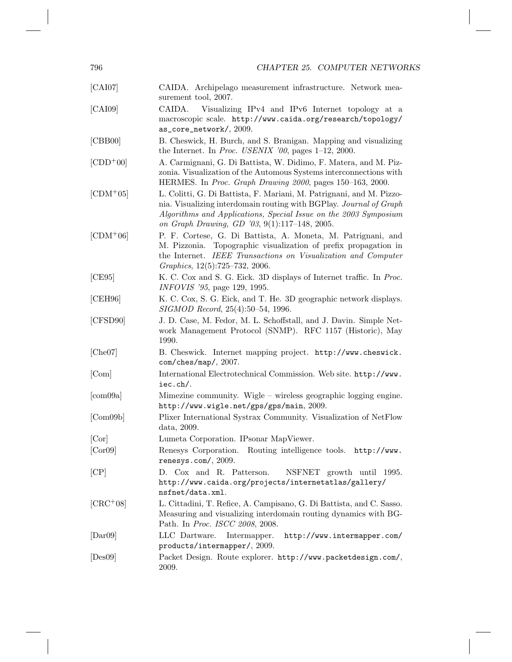| 796                      | CHAPTER 25. COMPUTER NETWORKS                                                                                                                                                                                                                                   |
|--------------------------|-----------------------------------------------------------------------------------------------------------------------------------------------------------------------------------------------------------------------------------------------------------------|
| [CAI07]                  | CAIDA. Archipelago measurement infrastructure. Network mea-<br>surement tool, 2007.                                                                                                                                                                             |
| [CAI09]                  | CAIDA.<br>Visualizing IPv4 and IPv6 Internet topology at a<br>macroscopic scale. http://www.caida.org/research/topology/<br>as_core_network/, 2009.                                                                                                             |
| [CBB00]                  | B. Cheswick, H. Burch, and S. Branigan. Mapping and visualizing<br>the Internet. In <i>Proc. USENIX</i> '00, pages $1-12$ , 2000.                                                                                                                               |
| $[CDD+00]$               | A. Carmignani, G. Di Battista, W. Didimo, F. Matera, and M. Piz-<br>zonia. Visualization of the Automous Systems interconnections with<br>HERMES. In Proc. Graph Drawing 2000, pages 150-163, 2000.                                                             |
| $[CDM+05]$               | L. Colitti, G. Di Battista, F. Mariani, M. Patrignani, and M. Pizzo-<br>nia. Visualizing interdomain routing with BGPlay. Journal of Graph<br>Algorithms and Applications, Special Issue on the 2003 Symposium<br>on Graph Drawing, GD '03, 9(1):117-148, 2005. |
| $[CDM+06]$               | P. F. Cortese, G. Di Battista, A. Moneta, M. Patrignani, and<br>M. Pizzonia. Topographic visualization of prefix propagation in<br>the Internet. IEEE Transactions on Visualization and Computer<br>$Graphics, 12(5):725-732, 2006.$                            |
| [CE95]                   | K. C. Cox and S. G. Eick. 3D displays of Internet traffic. In Proc.<br><i>INFOVIS</i> '95, page 129, 1995.                                                                                                                                                      |
| [CEH96]                  | K. C. Cox, S. G. Eick, and T. He. 3D geographic network displays.<br>$SIGMOD$ Record, $25(4):50-54$ , 1996.                                                                                                                                                     |
| [CFSD90]                 | J. D. Case, M. Fedor, M. L. Schoffstall, and J. Davin. Simple Net-<br>work Management Protocol (SNMP). RFC 1157 (Historic), May<br>1990.                                                                                                                        |
| [Che07]                  | B. Cheswick. Internet mapping project. http://www.cheswick.<br>com/ches/map/, 2007.                                                                                                                                                                             |
| [Com]                    | International Electrotechnical Commission. Web site. http://www.<br>iec.ch/.                                                                                                                                                                                    |
| $[{\rm com}09a]$         | Mimezine community. Wigle $-$ wireless geographic logging engine.<br>http://www.wigle.net/gps/gps/main, 2009.                                                                                                                                                   |
| [Com09b]                 | Plixer International Systrax Community. Visualization of NetFlow<br>data, 2009.                                                                                                                                                                                 |
| [Cor]                    | Lumeta Corporation. IPsonar MapViewer.                                                                                                                                                                                                                          |
| [Cor09]                  | Renesys Corporation.<br>Routing intelligence tools.<br>http://www.<br>renesys.com/, 2009.                                                                                                                                                                       |
| [CP]                     | D. Cox and R. Patterson.<br>NSFNET growth until 1995.<br>http://www.caida.org/projects/internetatlas/gallery/<br>nsfnet/data.xml.                                                                                                                               |
| $[CRC + 08]$             | L. Cittadini, T. Refice, A. Campisano, G. Di Battista, and C. Sasso.<br>Measuring and visualizing interdomain routing dynamics with BG-<br>Path. In <i>Proc. ISCC 2008</i> , 2008.                                                                              |
| $\left[$ Dar $09\right]$ | LLC Dartware.<br>Intermapper.<br>http://www.intermapper.com/<br>products/intermapper/, 2009.                                                                                                                                                                    |
| [Des09]                  | Packet Design. Route explorer. http://www.packetdesign.com/,<br>2009.                                                                                                                                                                                           |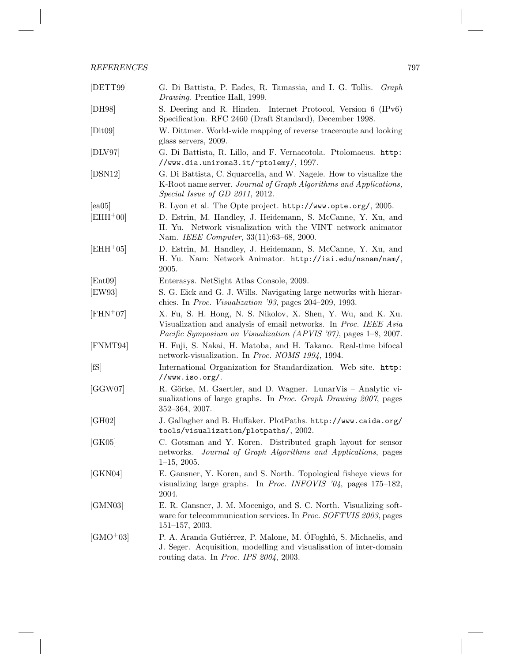### REFERENCES 797

| [DETT99]         | G. Di Battista, P. Eades, R. Tamassia, and I. G. Tollis. Graph<br><i>Drawing.</i> Prentice Hall, 1999.                                                                                                  |
|------------------|---------------------------------------------------------------------------------------------------------------------------------------------------------------------------------------------------------|
| [DH98]           | S. Deering and R. Hinden. Internet Protocol, Version 6 (IPv6)<br>Specification. RFC 2460 (Draft Standard), December 1998.                                                                               |
| $[\text{Dit09}]$ | W. Dittmer. World-wide mapping of reverse traceroute and looking<br>glass servers, 2009.                                                                                                                |
| [DLV97]          | G. Di Battista, R. Lillo, and F. Vernacotola. Ptolomaeus. http:<br>$\frac{\sqrt{w}}{1997}$ . dia.uniroma3.it/~ptolemy/, 1997.                                                                           |
| [DSN12]          | G. Di Battista, C. Squarcella, and W. Nagele. How to visualize the<br>K-Root name server. Journal of Graph Algorithms and Applications,<br>Special Issue of GD 2011, 2012.                              |
| [ea05]           | B. Lyon et al. The Opte project. http://www.opte.org/, 2005.                                                                                                                                            |
| $[EHH+00]$       | D. Estrin, M. Handley, J. Heidemann, S. McCanne, Y. Xu, and<br>H. Yu. Network visualization with the VINT network animator<br>Nam. IEEE Computer, 33(11):63-68, 2000.                                   |
| $[EHH+05]$       | D. Estrin, M. Handley, J. Heidemann, S. McCanne, Y. Xu, and<br>H. Yu. Nam: Network Animator. http://isi.edu/nsnam/nam/,<br>2005.                                                                        |
| [Ent09]          | Enterasys. NetSight Atlas Console, 2009.                                                                                                                                                                |
| [EW93]           | S. G. Eick and G. J. Wills. Navigating large networks with hierar-<br>chies. In <i>Proc. Visualization '93</i> , pages $204-209$ , 1993.                                                                |
| $[FHN+07]$       | X. Fu, S. H. Hong, N. S. Nikolov, X. Shen, Y. Wu, and K. Xu.<br>Visualization and analysis of email networks. In Proc. IEEE Asia<br>Pacific Symposium on Visualization (APVIS '07), pages $1-8$ , 2007. |
| [FNMT94]         | H. Fuji, S. Nakai, H. Matoba, and H. Takano. Real-time bifocal<br>network-visualization. In <i>Proc. NOMS</i> 1994, 1994.                                                                               |
| $[\mathrm{fS}]$  | International Organization for Standardization. Web site. http:<br>//www.iso.org/.                                                                                                                      |
| [GGW07]          | R. Görke, M. Gaertler, and D. Wagner. LunarVis - Analytic vi-<br>sualizations of large graphs. In <i>Proc. Graph Drawing 2007</i> , pages<br>$352 - 364$ , 2007.                                        |
| [GHz]            | J. Gallagher and B. Huffaker. PlotPaths. http://www.caida.org/<br>tools/visualization/plotpaths/, 2002.                                                                                                 |
| [GK05]           | C. Gotsman and Y. Koren. Distributed graph layout for sensor<br>networks. Journal of Graph Algorithms and Applications, pages<br>$1-15$ , 2005.                                                         |
| [GKN04]          | E. Gansner, Y. Koren, and S. North. Topological fisheye views for<br>visualizing large graphs. In <i>Proc. INFOVIS</i> $0/4$ , pages 175-182,<br>2004.                                                  |
| [GMN03]          | E. R. Gansner, J. M. Mocenigo, and S. C. North. Visualizing soft-<br>ware for telecommunication services. In <i>Proc. SOFTVIS</i> 2003, pages<br>$151-157, 2003.$                                       |
| $[GMO+03]$       | P. A. Aranda Gutiérrez, P. Malone, M. ÓFoghlú, S. Michaelis, and<br>J. Seger. Acquisition, modelling and visualisation of inter-domain<br>routing data. In <i>Proc. IPS</i> $2004$ , 2003.              |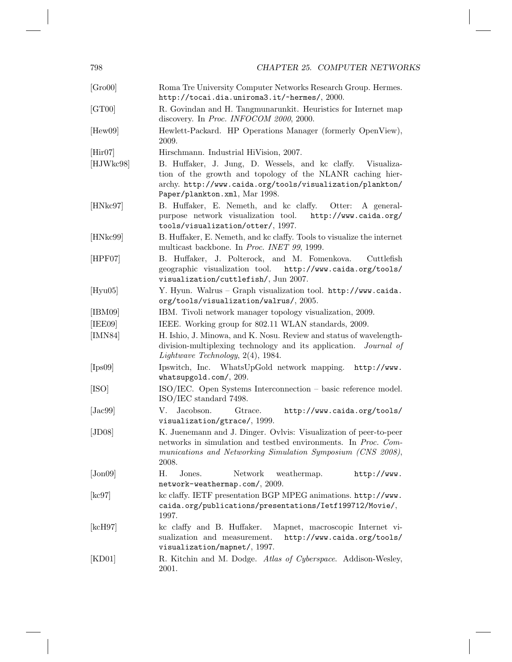| 798               | CHAPTER 25. COMPUTER NETWORKS                                                                                                                                                                                              |
|-------------------|----------------------------------------------------------------------------------------------------------------------------------------------------------------------------------------------------------------------------|
| [Gro00]           | Roma Tre University Computer Networks Research Group. Hermes.<br>http://tocai.dia.uniroma3.it/~hermes/, 2000.                                                                                                              |
| [GT00]            | R. Govindan and H. Tangmunarunkit. Heuristics for Internet map<br>discovery. In Proc. INFOCOM 2000, 2000.                                                                                                                  |
| [Hew09]           | Hewlett-Packard. HP Operations Manager (formerly OpenView),<br>2009.                                                                                                                                                       |
| [Hirr07]          | Hirschmann. Industrial HiVision, 2007.                                                                                                                                                                                     |
| [HJWkc98]         | B. Huffaker, J. Jung, D. Wessels, and kc claffy.<br>Visualiza-<br>tion of the growth and topology of the NLANR caching hier-<br>archy. http://www.caida.org/tools/visualization/plankton/<br>Paper/plankton.xml, Mar 1998. |
| [HNkc97]          | B. Huffaker, E. Nemeth, and kc claffy.<br>Otter: A general-<br>purpose network visualization tool.<br>http://www.caida.org/<br>tools/visualization/otter/, 1997.                                                           |
| [HNkc99]          | B. Huffaker, E. Nemeth, and kc claffy. Tools to visualize the internet<br>multicast backbone. In Proc. INET 99, 1999.                                                                                                      |
| [HPF07]           | B. Huffaker, J. Polterock, and M. Fomenkova.<br>Cuttlefish<br>geographic visualization tool. http://www.caida.org/tools/<br>visualization/cuttlefish/, Jun 2007.                                                           |
| [Hyu05]           | Y. Hyun. Walrus - Graph visualization tool. http://www.caida.<br>org/tools/visualization/walrus/, 2005.                                                                                                                    |
| [IBM09]           | IBM. Tivoli network manager topology visualization, 2009.                                                                                                                                                                  |
| [IEE09]           | IEEE. Working group for 802.11 WLAN standards, 2009.                                                                                                                                                                       |
| [IMN84]           | H. Ishio, J. Minowa, and K. Nosu. Review and status of wavelength-<br>division-multiplexing technology and its application.<br>Journal of<br>$Lightwave\, Technology, 2(4), 1984.$                                         |
| [Ips09]           | Ipswitch, Inc. WhatsUpGold network mapping. http://www.<br>whatsupgold.com/, 209.                                                                                                                                          |
| [ISO]             | $ISO/IEC.$ Open Systems Interconnection – basic reference model.<br>ISO/IEC standard 7498.                                                                                                                                 |
| [Jac99]           | Jacobson.<br>http://www.caida.org/tools/<br>V.<br>Gtrace.<br>visualization/gtrace/, 1999.                                                                                                                                  |
| $[\mathrm{JD}08]$ | K. Juenemann and J. Dinger. Ovlyis: Visualization of peer-to-peer<br>networks in simulation and testbed environments. In <i>Proc. Com-</i><br>munications and Networking Simulation Symposium (CNS 2008),<br>2008.         |
| [Join09]          | Η.<br>Jones.<br>Network<br>weathermap.<br>http://www.<br>network-weathermap.com/, 2009.                                                                                                                                    |
| kc97              | kc claffy. IETF presentation BGP MPEG animations. http://www.<br>caida.org/publications/presentations/Ietf199712/Movie/,<br>1997.                                                                                          |
| [kcH97]           | kc claffy and B. Huffaker.<br>Mapnet, macroscopic Internet vi-<br>sualization and measurement.<br>http://www.caida.org/tools/<br>visualization/mapnet/, 1997.                                                              |
| [KD01]            | R. Kitchin and M. Dodge. Atlas of Cyberspace. Addison-Wesley,<br>2001.                                                                                                                                                     |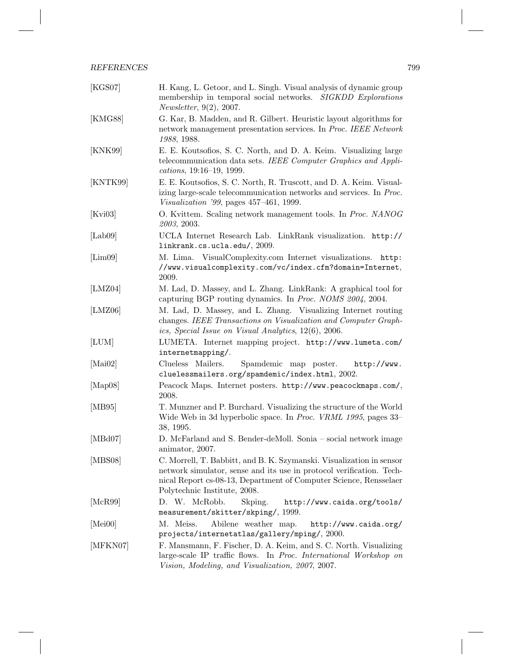| [KGS07]     | H. Kang, L. Getoor, and L. Singh. Visual analysis of dynamic group<br>membership in temporal social networks. SIGKDD Explorations<br><i>Newsletter</i> , $9(2)$ , 2007.                                                                           |
|-------------|---------------------------------------------------------------------------------------------------------------------------------------------------------------------------------------------------------------------------------------------------|
| [KMG88]     | G. Kar, B. Madden, and R. Gilbert. Heuristic layout algorithms for<br>network management presentation services. In Proc. IEEE Network<br>1988, 1988.                                                                                              |
| [KNK99]     | E. E. Koutsofios, S. C. North, and D. A. Keim. Visualizing large<br>telecommunication data sets. IEEE Computer Graphics and Appli-<br>cations, 19:16-19, 1999.                                                                                    |
| [KNTK99]    | E. E. Koutsofios, S. C. North, R. Truscott, and D. A. Keim. Visual-<br>izing large-scale telecommunication networks and services. In Proc.<br><i>Visualization '99</i> , pages 457-461, 1999.                                                     |
| [Kvi03]     | O. Kvittem. Scaling network management tools. In Proc. NANOG<br>2003, 2003.                                                                                                                                                                       |
| [Lab $09$ ] | UCLA Internet Research Lab. LinkRank visualization. http://<br>linkrank.cs.ucla.edu/, 2009.                                                                                                                                                       |
| [Lim09]     | M. Lima. VisualComplexity.com Internet visualizations.<br>http:<br>//www.visualcomplexity.com/vc/index.cfm?domain=Internet,<br>2009.                                                                                                              |
| [LMZ04]     | M. Lad, D. Massey, and L. Zhang. LinkRank: A graphical tool for<br>capturing BGP routing dynamics. In Proc. NOMS 2004, 2004.                                                                                                                      |
| [LMZ06]     | M. Lad, D. Massey, and L. Zhang. Visualizing Internet routing<br>changes. IEEE Transactions on Visualization and Computer Graph-<br>ics, Special Issue on Visual Analytics, 12(6), 2006.                                                          |
| [LUM]       | LUMETA. Internet mapping project. http://www.lumeta.com/<br>internetmapping/.                                                                                                                                                                     |
| [Mai02]     | Clueless<br>Mailers.<br>Spamdemic map poster.<br>http://www.<br>cluelessmailers.org/spamdemic/index.html, 2002.                                                                                                                                   |
| [Map08]     | Peacock Maps. Internet posters. http://www.peacockmaps.com/,<br>2008.                                                                                                                                                                             |
| [ $MB95$ ]  | T. Munzner and P. Burchard. Visualizing the structure of the World<br>Wide Web in 3d hyperbolic space. In <i>Proc. VRML 1995</i> , pages 33–<br>38, 1995.                                                                                         |
| [MBd07]     | D. McFarland and S. Bender-deMoll. Sonia - social network image<br>animator, 2007.                                                                                                                                                                |
| [MBS08]     | C. Morrell, T. Babbitt, and B. K. Szymanski. Visualization in sensor<br>network simulator, sense and its use in protocol verification. Tech-<br>nical Report cs-08-13, Department of Computer Science, Rensselaer<br>Polytechnic Institute, 2008. |
| [McR99]     | D. W. McRobb.<br>Skping.<br>http://www.caida.org/tools/<br>measurement/skitter/skping/, 1999.                                                                                                                                                     |
| [Mei00]     | M. Meiss.<br>Abilene weather map.<br>http://www.caida.org/<br>projects/internetatlas/gallery/mping/, 2000.                                                                                                                                        |
| [MFKN07]    | F. Mansmann, F. Fischer, D. A. Keim, and S. C. North. Visualizing<br>large-scale IP traffic flows. In Proc. International Workshop on<br>Vision, Modeling, and Visualization, 2007, 2007.                                                         |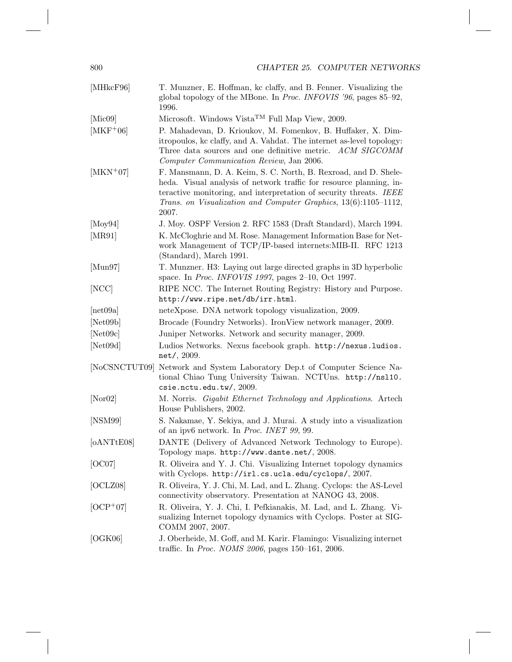| 800             | CHAPTER 25. COMPUTER NETWORKS                                                                                                                                                                                                                                                            |
|-----------------|------------------------------------------------------------------------------------------------------------------------------------------------------------------------------------------------------------------------------------------------------------------------------------------|
| [MHkcF96]       | T. Munzner, E. Hoffman, kc claffy, and B. Fenner. Visualizing the<br>global topology of the MBone. In <i>Proc. INFOVIS</i> '96, pages 85–92,<br>1996.                                                                                                                                    |
| $[{\rm Mic}09]$ | Microsoft. Windows Vista <sup>TM</sup> Full Map View, 2009.                                                                                                                                                                                                                              |
| $[MKF+06]$      | P. Mahadevan, D. Krioukov, M. Fomenkov, B. Huffaker, X. Dim-<br>itropoulos, kc claffy, and A. Vahdat. The internet as-level topology:<br>Three data sources and one definitive metric. ACM SIGCOMM<br>Computer Communication Review, Jan 2006.                                           |
| $[MKN+07]$      | F. Mansmann, D. A. Keim, S. C. North, B. Rexroad, and D. Shele-<br>heda. Visual analysis of network traffic for resource planning, in-<br>teractive monitoring, and interpretation of security threats. IEEE<br>Trans. on Visualization and Computer Graphics, 13(6):1105-1112,<br>2007. |
| [Moy94]         | J. Moy. OSPF Version 2. RFC 1583 (Draft Standard), March 1994.                                                                                                                                                                                                                           |
| [MR91]          | K. McCloghrie and M. Rose. Management Information Base for Net-<br>work Management of TCP/IP-based internets: MIB-II. RFC 1213<br>(Standard), March 1991.                                                                                                                                |
| [Mun97]         | T. Munzner. H3: Laying out large directed graphs in 3D hyperbolic<br>space. In Proc. INFOVIS 1997, pages 2-10, Oct 1997.                                                                                                                                                                 |
| [NCC]           | RIPE NCC. The Internet Routing Registry: History and Purpose.<br>http://www.ripe.net/db/irr.html.                                                                                                                                                                                        |
| [net09a]        | neteXpose. DNA network topology visualization, 2009.                                                                                                                                                                                                                                     |
| [Net09b]        | Brocade (Foundry Networks). Iron View network manager, 2009.                                                                                                                                                                                                                             |
| [Net09c]        | Juniper Networks. Network and security manager, 2009.                                                                                                                                                                                                                                    |
| [Net09d]        | Ludios Networks. Nexus facebook graph. http://nexus.ludios.<br>net/, 2009.                                                                                                                                                                                                               |
| [NoCSNCTUT09]   | Network and System Laboratory Dep.t of Computer Science Na-<br>tional Chiao Tung University Taiwan. NCTUns. http://ns110.<br>$\texttt{csie.netu.edu.tw/}, 2009.$                                                                                                                         |
| [Nor02]         | M. Norris. Gigabit Ethernet Technology and Applications. Artech<br>House Publishers, 2002.                                                                                                                                                                                               |
| [NSM99]         | S. Nakamae, Y. Sekiya, and J. Murai. A study into a visualization<br>of an ipv6 network. In <i>Proc. INET</i> 99, 99.                                                                                                                                                                    |
| [oANTtE08]      | DANTE (Delivery of Advanced Network Technology to Europe).<br>Topology maps. http://www.dante.net/, 2008.                                                                                                                                                                                |
| [OC07]          | R. Oliveira and Y. J. Chi. Visualizing Internet topology dynamics<br>with Cyclops. http://irl.cs.ucla.edu/cyclops/, 2007.                                                                                                                                                                |
| [OCLZ08]        | R. Oliveira, Y. J. Chi, M. Lad, and L. Zhang. Cyclops: the AS-Level<br>connectivity observatory. Presentation at NANOG 43, 2008.                                                                                                                                                         |
| $[OCP+07]$      | R. Oliveira, Y. J. Chi, I. Pefkianakis, M. Lad, and L. Zhang. Vi-<br>sualizing Internet topology dynamics with Cyclops. Poster at SIG-<br>COMM 2007, 2007.                                                                                                                               |
| [OGK06]         | J. Oberheide, M. Goff, and M. Karir. Flamingo: Visualizing internet<br>traffic. In <i>Proc. NOMS</i> 2006, pages 150–161, 2006.                                                                                                                                                          |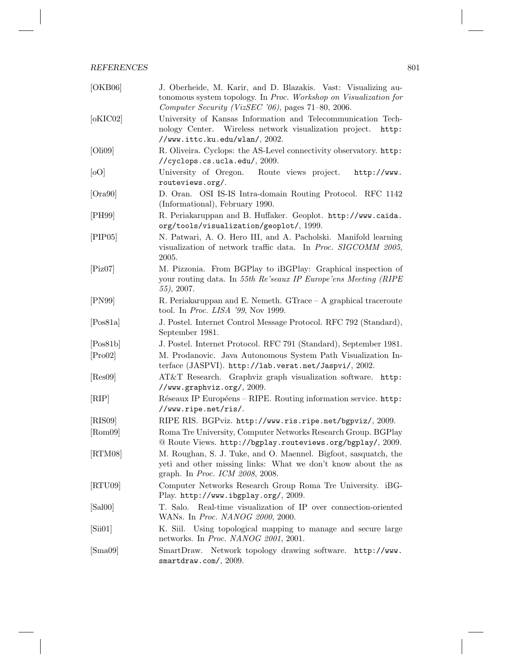| [OKB06]          | J. Oberheide, M. Karir, and D. Blazakis. Vast: Visualizing au-<br>tonomous system topology. In Proc. Workshop on Visualization for<br>Computer Security (VizSEC '06), pages $71-80$ , 2006. |
|------------------|---------------------------------------------------------------------------------------------------------------------------------------------------------------------------------------------|
| [oKIC02]         | University of Kansas Information and Telecommunication Tech-<br>nology Center. Wireless network visualization project.<br>http:<br>$\prime$ /www.ittc.ku.edu/wlan/, 2002.                   |
| [Oli09]          | R. Oliveira. Cyclops: the AS-Level connectivity observatory. http:<br>// cycles.cs.ucla.edu/, 2009.                                                                                         |
| [OO]             | University of Oregon.<br>Route views project.<br>http://www.<br>routeviews.org/.                                                                                                            |
| [Ora90]          | D. Oran. OSI IS-IS Intra-domain Routing Protocol. RFC 1142<br>(Informational), February 1990.                                                                                               |
| [PH99]           | R. Periakaruppan and B. Huffaker. Geoplot. http://www.caida.<br>org/tools/visualization/geoplot/, 1999.                                                                                     |
| [PIP05]          | N. Patwari, A. O. Hero III, and A. Pacholski. Manifold learning<br>visualization of network traffic data. In <i>Proc. SIGCOMM 2005</i> ,<br>2005.                                           |
| $[{\rm{Piz}}07]$ | M. Pizzonia. From BGPlay to iBGPlay: Graphical inspection of<br>your routing data. In 55th Re'seaux IP Europe'ens Meeting (RIPE<br>$(55)$ , 2007.                                           |
| [PN99]           | R. Periakaruppan and E. Nemeth. GTrace - A graphical traceroute<br>tool. In <i>Proc. LISA '99</i> , Nov 1999.                                                                               |
| [Pos81a]         | J. Postel. Internet Control Message Protocol. RFC 792 (Standard),<br>September 1981.                                                                                                        |
| [Pos81b]         | J. Postel. Internet Protocol. RFC 791 (Standard), September 1981.                                                                                                                           |
| [Pro02]          | M. Prodanovic. Java Autonomous System Path Visualization In-<br>terface (JASPVI). http://lab.verat.net/Jaspvi/, 2002.                                                                       |
| $[{\rm Res}09]$  | AT&T Research. Graphyiz graph visualization software.<br>http:<br>//www.graphviz.org/, $2009$ .                                                                                             |
| [RIP]            | Réseaux IP Européens - RIPE. Routing information service. http:<br>//www.ripe.net/ris/.                                                                                                     |
| [RIS09]          | RIPE RIS. BGPviz. http://www.ris.ripe.net/bgpviz/, 2009.                                                                                                                                    |
| [Rom09]          | Roma Tre University, Computer Networks Research Group. BGPlay<br>@ Route Views. http://bgplay.routeviews.org/bgplay/, 2009.                                                                 |
| [RTM08]          | M. Roughan, S. J. Tuke, and O. Maennel. Bigfoot, sasquatch, the<br>yeti and other missing links: What we don't know about the as<br>graph. In Proc. ICM 2008, 2008.                         |
| [RTU09]          | Computer Networks Research Group Roma Tre University. iBG-<br>Play. http://www.ibgplay.org/, 2009.                                                                                          |
| [Sa100]          | T. Salo. Real-time visualization of IP over connection-oriented<br>WANs. In <i>Proc. NANOG 2000</i> , 2000.                                                                                 |
| [Sii01]          | K. Siil. Using topological mapping to manage and secure large<br>networks. In Proc. NANOG 2001, 2001.                                                                                       |
| $[\text{Sma}09]$ | SmartDraw. Network topology drawing software.<br>http://www.<br>smartdraw.com/, 2009.                                                                                                       |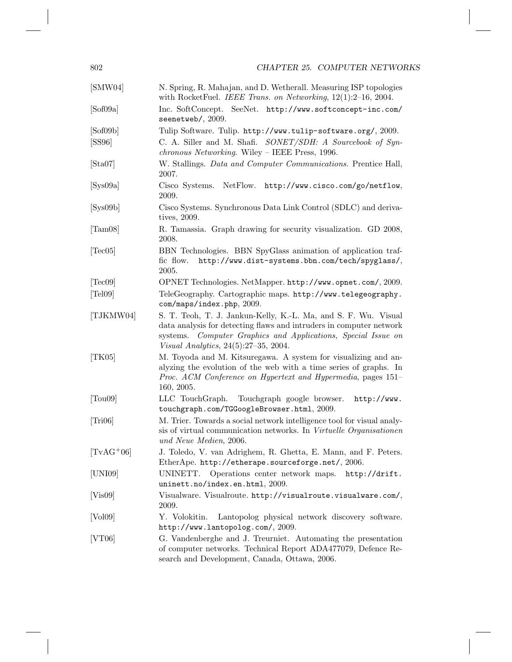| 802                          | CHAPTER 25. COMPUTER NETWORKS                                                                                                                                                                                                                  |
|------------------------------|------------------------------------------------------------------------------------------------------------------------------------------------------------------------------------------------------------------------------------------------|
| [SMW04]                      | N. Spring, R. Mahajan, and D. Wetherall. Measuring ISP topologies<br>with RocketFuel. IEEE Trans. on Networking, $12(1):2-16$ , $2004$ .                                                                                                       |
| [Sof09a]                     | Inc. SoftConcept. SeeNet. http://www.softconcept-inc.com/<br>seenetweb/, 2009.                                                                                                                                                                 |
| [Soft09b]<br>[SS96]          | Tulip Software. Tulip. http://www.tulip-software.org/, 2009.<br>C. A. Siller and M. Shafi. SONET/SDH: A Sourcebook of Syn-<br>chronous Networking. Wiley - IEEE Press, 1996.                                                                   |
| [Sta07]                      | W. Stallings. Data and Computer Communications. Prentice Hall,<br>2007.                                                                                                                                                                        |
| [Sys09a]                     | NetFlow. http://www.cisco.com/go/netflow,<br>Cisco Systems.<br>2009.                                                                                                                                                                           |
| [Sys09b]                     | Cisco Systems. Synchronous Data Link Control (SDLC) and deriva-<br>tives, 2009.                                                                                                                                                                |
| $\lceil \text{Tam08} \rceil$ | R. Tamassia. Graph drawing for security visualization. GD 2008,<br>2008.                                                                                                                                                                       |
| [Tec05]                      | BBN Technologies. BBN SpyGlass animation of application traf-<br>http://www.dist-systems.bbn.com/tech/spyglass/,<br>fic flow.<br>2005.                                                                                                         |
| [Tec09]                      | OPNET Technologies. NetMapper. http://www.opnet.com/, 2009.                                                                                                                                                                                    |
| [Te109]                      | TeleGeography. Cartographic maps. http://www.telegeography.<br>com/maps/index.php, 2009.                                                                                                                                                       |
| [TJKMW04]                    | S. T. Teoh, T. J. Jankun-Kelly, K.-L. Ma, and S. F. Wu. Visual<br>data analysis for detecting flaws and intruders in computer network<br>systems. Computer Graphics and Applications, Special Issue on<br>Visual Analytics, 24(5):27-35, 2004. |
| [TK05]                       | M. Toyoda and M. Kitsuregawa. A system for visualizing and an-<br>alyzing the evolution of the web with a time series of graphs. In<br>Proc. ACM Conference on Hypertext and Hypermedia, pages 151–<br>160, 2005.                              |
| $\lceil \text{Tou09} \rceil$ | LLC TouchGraph. Touchgraph google browser.<br>http://www.<br>touchgraph.com/TGGoogleBrowser.html, 2009.                                                                                                                                        |
| $[\text{Tri}06]$             | M. Trier. Towards a social network intelligence tool for visual analy-<br>sis of virtual communication networks. In Virtuelle Organisationen<br>und Neue Medien, 2006.                                                                         |
| $[TvAG^+06]$                 | J. Toledo, V. van Adrighem, R. Ghetta, E. Mann, and F. Peters.<br>EtherApe. http://etherape.sourceforge.net/, 2006.                                                                                                                            |
| [UNI09]                      | Operations center network maps.<br>UNINETT.<br>http://drift.<br>uninett.no/index.en.html, 2009.                                                                                                                                                |
| Vis09                        | Visualware. Visualroute. http://visualroute.visualware.com/,<br>2009.                                                                                                                                                                          |
| [Vol09]                      | Y. Volokitin.<br>Lantopolog physical network discovery software.<br>http://www.lantopolog.com/, 2009.                                                                                                                                          |
| [VT06]                       | G. Vandenberghe and J. Treurniet. Automating the presentation<br>of computer networks. Technical Report ADA477079, Defence Re-<br>search and Development, Canada, Ottawa, 2006.                                                                |